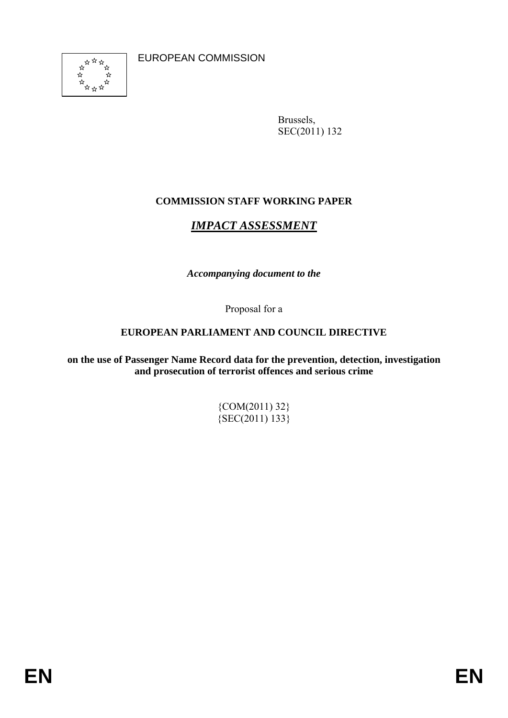EUROPEAN COMMISSION



Brussels, SEC(2011) 132

# **COMMISSION STAFF WORKING PAPER**

# *IMPACT ASSESSMENT*

*Accompanying document to the* 

Proposal for a

# **EUROPEAN PARLIAMENT AND COUNCIL DIRECTIVE**

**on the use of Passenger Name Record data for the prevention, detection, investigation and prosecution of terrorist offences and serious crime** 

> {COM(2011) 32}  ${ \{ \text{SEC(2011) } 133 \}}$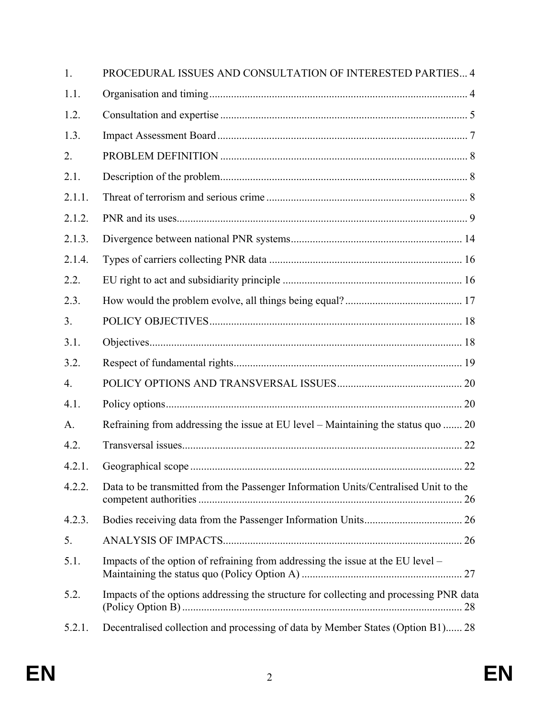| 1.             | PROCEDURAL ISSUES AND CONSULTATION OF INTERESTED PARTIES 4                             |  |
|----------------|----------------------------------------------------------------------------------------|--|
| 1.1.           |                                                                                        |  |
| 1.2.           |                                                                                        |  |
| 1.3.           |                                                                                        |  |
| 2.             |                                                                                        |  |
| 2.1.           |                                                                                        |  |
| 2.1.1.         |                                                                                        |  |
| 2.1.2.         |                                                                                        |  |
| 2.1.3.         |                                                                                        |  |
| 2.1.4.         |                                                                                        |  |
| 2.2.           |                                                                                        |  |
| 2.3.           |                                                                                        |  |
| 3 <sub>1</sub> |                                                                                        |  |
| 3.1.           |                                                                                        |  |
| 3.2.           |                                                                                        |  |
| 4.             |                                                                                        |  |
| 4.1.           |                                                                                        |  |
| A.             | Refraining from addressing the issue at EU level – Maintaining the status quo  20      |  |
| 4.2.           |                                                                                        |  |
| 4.2.1.         |                                                                                        |  |
| 4.2.2.         | Data to be transmitted from the Passenger Information Units/Centralised Unit to the    |  |
| 4.2.3.         |                                                                                        |  |
| 5.             |                                                                                        |  |
| 5.1.           | Impacts of the option of refraining from addressing the issue at the EU level -        |  |
| 5.2.           | Impacts of the options addressing the structure for collecting and processing PNR data |  |
| 5.2.1.         | Decentralised collection and processing of data by Member States (Option B1) 28        |  |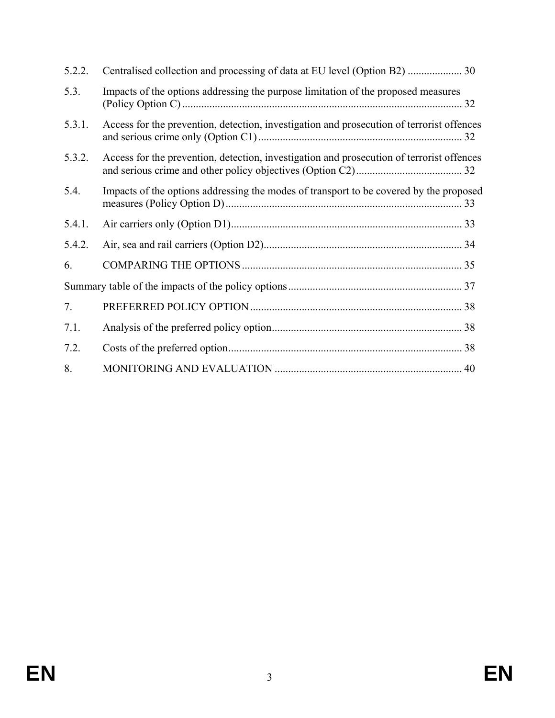| 5.2.2. |                                                                                           |  |
|--------|-------------------------------------------------------------------------------------------|--|
| 5.3.   | Impacts of the options addressing the purpose limitation of the proposed measures         |  |
| 5.3.1. | Access for the prevention, detection, investigation and prosecution of terrorist offences |  |
| 5.3.2. | Access for the prevention, detection, investigation and prosecution of terrorist offences |  |
| 5.4.   | Impacts of the options addressing the modes of transport to be covered by the proposed    |  |
| 5.4.1. |                                                                                           |  |
| 5.4.2. |                                                                                           |  |
| 6.     |                                                                                           |  |
|        |                                                                                           |  |
| 7.     |                                                                                           |  |
| 7.1.   |                                                                                           |  |
| 7.2.   |                                                                                           |  |
| 8.     |                                                                                           |  |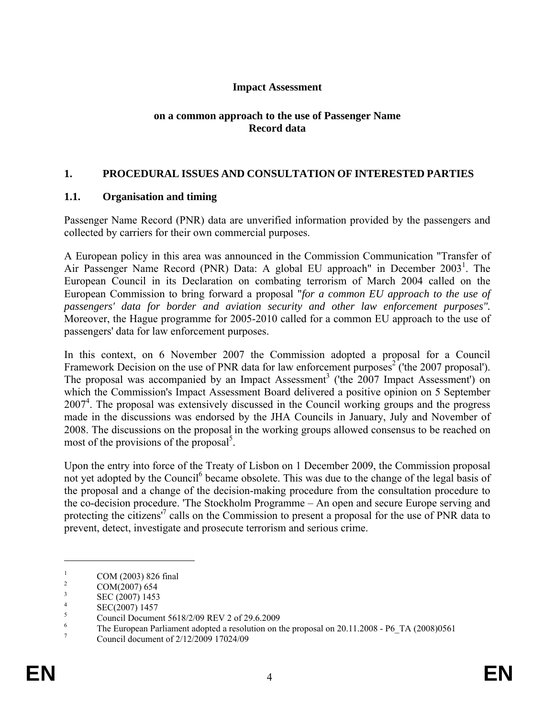### **Impact Assessment**

### **on a common approach to the use of Passenger Name Record data**

### **1. PROCEDURAL ISSUES AND CONSULTATION OF INTERESTED PARTIES**

### **1.1. Organisation and timing**

Passenger Name Record (PNR) data are unverified information provided by the passengers and collected by carriers for their own commercial purposes.

A European policy in this area was announced in the Commission Communication "Transfer of Air Passenger Name Record (PNR) Data: A global EU approach" in December 2003<sup>1</sup>. The European Council in its Declaration on combating terrorism of March 2004 called on the European Commission to bring forward a proposal "*for a common EU approach to the use of passengers' data for border and aviation security and other law enforcement purposes".* Moreover, the Hague programme for 2005-2010 called for a common EU approach to the use of passengers' data for law enforcement purposes.

In this context, on 6 November 2007 the Commission adopted a proposal for a Council Framework Decision on the use of PNR data for law enforcement purposes<sup>2</sup> ('the 2007 proposal'). The proposal was accompanied by an Impact Assessment<sup>3</sup> ('the 2007 Impact Assessment') on which the Commission's Impact Assessment Board delivered a positive opinion on 5 September 2007<sup>4</sup>. The proposal was extensively discussed in the Council working groups and the progress made in the discussions was endorsed by the JHA Councils in January, July and November of 2008. The discussions on the proposal in the working groups allowed consensus to be reached on most of the provisions of the proposal<sup>5</sup>.

Upon the entry into force of the Treaty of Lisbon on 1 December 2009, the Commission proposal not yet adopted by the Council<sup>6</sup> became obsolete. This was due to the change of the legal basis of the proposal and a change of the decision-making procedure from the consultation procedure to the co-decision procedure. 'The Stockholm Programme – An open and secure Europe serving and protecting the citizens<sup>17</sup> calls on the Commission to present a proposal for the use of PNR data to prevent, detect, investigate and prosecute terrorism and serious crime.

<sup>1</sup> COM (2003) 826 final

<sup>2</sup> COM(2007) 654

<sup>3</sup> SEC (2007) 1453

<sup>4</sup> SEC(2007) 1457

<sup>5</sup> Council Document 5618/2/09 REV 2 of 29.6.2009

<sup>6</sup> The European Parliament adopted a resolution on the proposal on 20.11.2008 - P6\_TA (2008)0561

<sup>7</sup> Council document of 2/12/2009 17024/09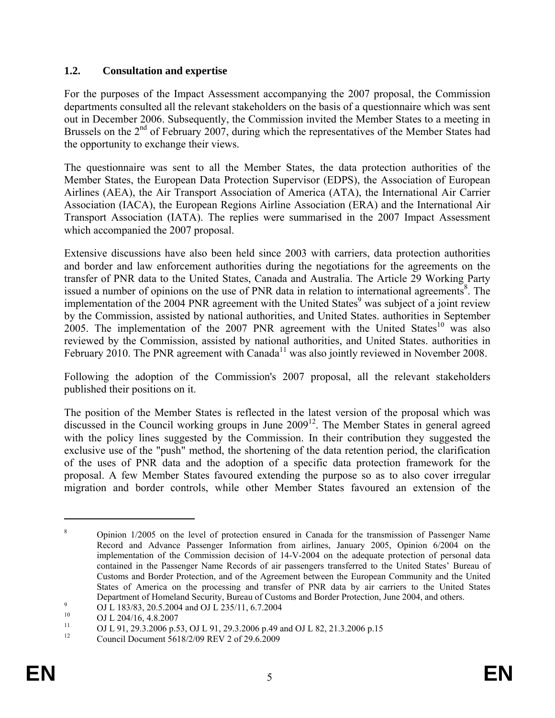### **1.2. Consultation and expertise**

For the purposes of the Impact Assessment accompanying the 2007 proposal, the Commission departments consulted all the relevant stakeholders on the basis of a questionnaire which was sent out in December 2006. Subsequently, the Commission invited the Member States to a meeting in Brussels on the 2<sup>nd</sup> of February 2007, during which the representatives of the Member States had the opportunity to exchange their views.

The questionnaire was sent to all the Member States, the data protection authorities of the Member States, the European Data Protection Supervisor (EDPS), the Association of European Airlines (AEA), the Air Transport Association of America (ATA), the International Air Carrier Association (IACA), the European Regions Airline Association (ERA) and the International Air Transport Association (IATA). The replies were summarised in the 2007 Impact Assessment which accompanied the 2007 proposal.

Extensive discussions have also been held since 2003 with carriers, data protection authorities and border and law enforcement authorities during the negotiations for the agreements on the transfer of PNR data to the United States, Canada and Australia. The Article 29 Working Party issued a number of opinions on the use of PNR data in relation to international agreements<sup>8</sup>. The implementation of the 2004 PNR agreement with the United States<sup>9</sup> was subject of a joint review by the Commission, assisted by national authorities, and United States. authorities in September 2005. The implementation of the 2007 PNR agreement with the United States<sup>10</sup> was also reviewed by the Commission, assisted by national authorities, and United States. authorities in February 2010. The PNR agreement with Canada<sup>11</sup> was also jointly reviewed in November 2008.

Following the adoption of the Commission's 2007 proposal, all the relevant stakeholders published their positions on it.

The position of the Member States is reflected in the latest version of the proposal which was discussed in the Council working groups in June 2009<sup>12</sup>. The Member States in general agreed with the policy lines suggested by the Commission. In their contribution they suggested the exclusive use of the "push" method, the shortening of the data retention period, the clarification of the uses of PNR data and the adoption of a specific data protection framework for the proposal. A few Member States favoured extending the purpose so as to also cover irregular migration and border controls, while other Member States favoured an extension of the

<u>.</u>

<sup>8</sup> Opinion 1/2005 on the level of protection ensured in Canada for the transmission of Passenger Name Record and Advance Passenger Information from airlines, January 2005, Opinion 6/2004 on the implementation of the Commission decision of 14-V-2004 on the adequate protection of personal data contained in the Passenger Name Records of air passengers transferred to the United States' Bureau of Customs and Border Protection, and of the Agreement between the European Community and the United States of America on the processing and transfer of PNR data by air carriers to the United States Department of Homeland Security, Bureau of Customs and Border Protection, June 2004, and others.

<sup>&</sup>lt;sup>9</sup> OJ L 183/83, 20.5.2004 and OJ L 235/11, 6.7.2004

<sup>&</sup>lt;sup>10</sup> OJ L 204/16, 4.8.2007

<sup>&</sup>lt;sup>11</sup> OJ L 91, 29.3.2006 p.53, OJ L 91, 29.3.2006 p.49 and OJ L 82, 21.3.2006 p.15<br><sup>12</sup> Channel Demmark 5618/200 DEV 2:520.6.2000

<sup>12</sup> Council Document 5618/2/09 REV 2 of 29.6.2009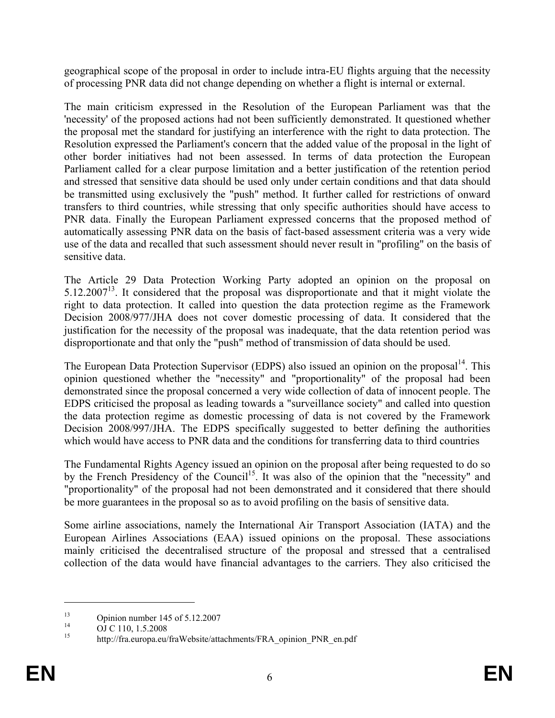geographical scope of the proposal in order to include intra-EU flights arguing that the necessity of processing PNR data did not change depending on whether a flight is internal or external.

The main criticism expressed in the Resolution of the European Parliament was that the 'necessity' of the proposed actions had not been sufficiently demonstrated. It questioned whether the proposal met the standard for justifying an interference with the right to data protection. The Resolution expressed the Parliament's concern that the added value of the proposal in the light of other border initiatives had not been assessed. In terms of data protection the European Parliament called for a clear purpose limitation and a better justification of the retention period and stressed that sensitive data should be used only under certain conditions and that data should be transmitted using exclusively the "push" method. It further called for restrictions of onward transfers to third countries, while stressing that only specific authorities should have access to PNR data. Finally the European Parliament expressed concerns that the proposed method of automatically assessing PNR data on the basis of fact-based assessment criteria was a very wide use of the data and recalled that such assessment should never result in "profiling" on the basis of sensitive data.

The Article 29 Data Protection Working Party adopted an opinion on the proposal on 5.12.200713. It considered that the proposal was disproportionate and that it might violate the right to data protection. It called into question the data protection regime as the Framework Decision 2008/977/JHA does not cover domestic processing of data. It considered that the justification for the necessity of the proposal was inadequate, that the data retention period was disproportionate and that only the "push" method of transmission of data should be used.

The European Data Protection Supervisor (EDPS) also issued an opinion on the proposal<sup>14</sup>. This opinion questioned whether the "necessity" and "proportionality" of the proposal had been demonstrated since the proposal concerned a very wide collection of data of innocent people. The EDPS criticised the proposal as leading towards a "surveillance society" and called into question the data protection regime as domestic processing of data is not covered by the Framework Decision 2008/997/JHA. The EDPS specifically suggested to better defining the authorities which would have access to PNR data and the conditions for transferring data to third countries

The Fundamental Rights Agency issued an opinion on the proposal after being requested to do so by the French Presidency of the Council<sup>15</sup>. It was also of the opinion that the "necessity" and "proportionality" of the proposal had not been demonstrated and it considered that there should be more guarantees in the proposal so as to avoid profiling on the basis of sensitive data.

Some airline associations, namely the International Air Transport Association (IATA) and the European Airlines Associations (EAA) issued opinions on the proposal. These associations mainly criticised the decentralised structure of the proposal and stressed that a centralised collection of the data would have financial advantages to the carriers. They also criticised the

<sup>&</sup>lt;sup>13</sup> Opinion number 145 of 5.12.2007

 $^{14}$  OJ C 110, 1.5.2008

<sup>15</sup> http://fra.europa.eu/fraWebsite/attachments/FRA\_opinion\_PNR\_en.pdf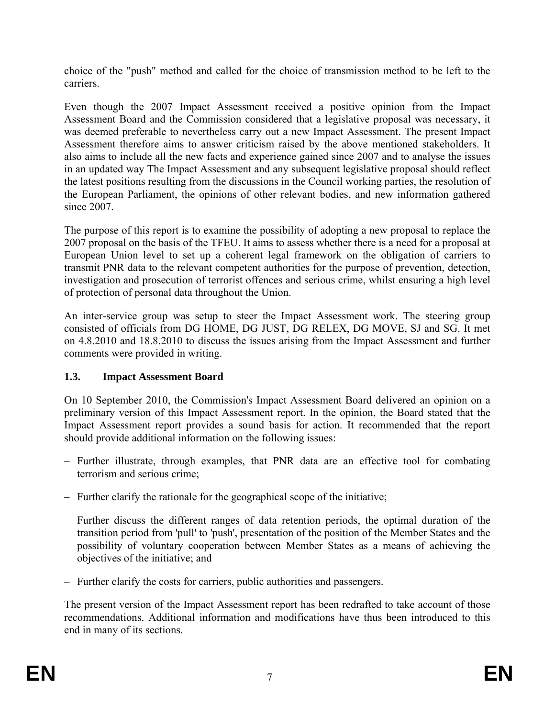choice of the "push" method and called for the choice of transmission method to be left to the carriers.

Even though the 2007 Impact Assessment received a positive opinion from the Impact Assessment Board and the Commission considered that a legislative proposal was necessary, it was deemed preferable to nevertheless carry out a new Impact Assessment. The present Impact Assessment therefore aims to answer criticism raised by the above mentioned stakeholders. It also aims to include all the new facts and experience gained since 2007 and to analyse the issues in an updated way The Impact Assessment and any subsequent legislative proposal should reflect the latest positions resulting from the discussions in the Council working parties, the resolution of the European Parliament, the opinions of other relevant bodies, and new information gathered since 2007.

The purpose of this report is to examine the possibility of adopting a new proposal to replace the 2007 proposal on the basis of the TFEU. It aims to assess whether there is a need for a proposal at European Union level to set up a coherent legal framework on the obligation of carriers to transmit PNR data to the relevant competent authorities for the purpose of prevention, detection, investigation and prosecution of terrorist offences and serious crime, whilst ensuring a high level of protection of personal data throughout the Union.

An inter-service group was setup to steer the Impact Assessment work. The steering group consisted of officials from DG HOME, DG JUST, DG RELEX, DG MOVE, SJ and SG. It met on 4.8.2010 and 18.8.2010 to discuss the issues arising from the Impact Assessment and further comments were provided in writing.

# **1.3. Impact Assessment Board**

On 10 September 2010, the Commission's Impact Assessment Board delivered an opinion on a preliminary version of this Impact Assessment report. In the opinion, the Board stated that the Impact Assessment report provides a sound basis for action. It recommended that the report should provide additional information on the following issues:

- Further illustrate, through examples, that PNR data are an effective tool for combating terrorism and serious crime;
- Further clarify the rationale for the geographical scope of the initiative;
- Further discuss the different ranges of data retention periods, the optimal duration of the transition period from 'pull' to 'push', presentation of the position of the Member States and the possibility of voluntary cooperation between Member States as a means of achieving the objectives of the initiative; and
- Further clarify the costs for carriers, public authorities and passengers.

The present version of the Impact Assessment report has been redrafted to take account of those recommendations. Additional information and modifications have thus been introduced to this end in many of its sections.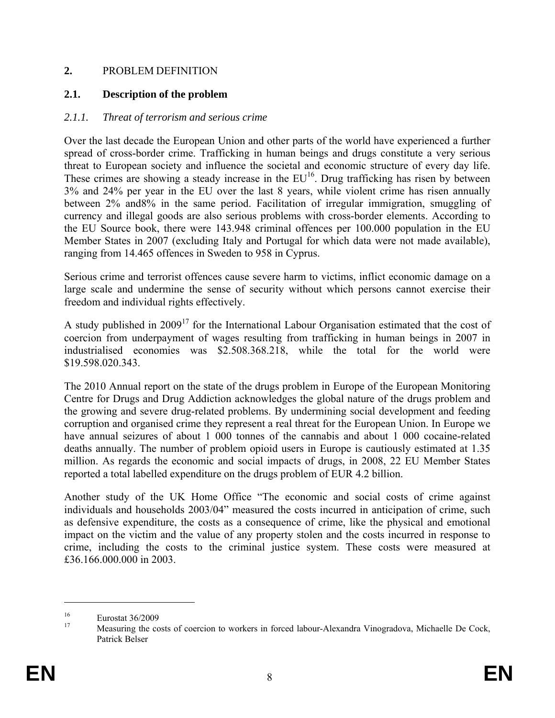### **2.** PROBLEM DEFINITION

### **2.1. Description of the problem**

### *2.1.1. Threat of terrorism and serious crime*

Over the last decade the European Union and other parts of the world have experienced a further spread of cross-border crime. Trafficking in human beings and drugs constitute a very serious threat to European society and influence the societal and economic structure of every day life. These crimes are showing a steady increase in the  $EU^{16}$ . Drug trafficking has risen by between 3% and 24% per year in the EU over the last 8 years, while violent crime has risen annually between 2% and8% in the same period. Facilitation of irregular immigration, smuggling of currency and illegal goods are also serious problems with cross-border elements. According to the EU Source book, there were 143.948 criminal offences per 100.000 population in the EU Member States in 2007 (excluding Italy and Portugal for which data were not made available), ranging from 14.465 offences in Sweden to 958 in Cyprus.

Serious crime and terrorist offences cause severe harm to victims, inflict economic damage on a large scale and undermine the sense of security without which persons cannot exercise their freedom and individual rights effectively.

A study published in  $2009<sup>17</sup>$  for the International Labour Organisation estimated that the cost of coercion from underpayment of wages resulting from trafficking in human beings in 2007 in industrialised economies was \$2.508.368.218, while the total for the world were \$19.598.020.343.

The 2010 Annual report on the state of the drugs problem in Europe of the European Monitoring Centre for Drugs and Drug Addiction acknowledges the global nature of the drugs problem and the growing and severe drug-related problems. By undermining social development and feeding corruption and organised crime they represent a real threat for the European Union. In Europe we have annual seizures of about 1 000 tonnes of the cannabis and about 1 000 cocaine-related deaths annually. The number of problem opioid users in Europe is cautiously estimated at 1.35 million. As regards the economic and social impacts of drugs, in 2008, 22 EU Member States reported a total labelled expenditure on the drugs problem of EUR 4.2 billion.

Another study of the UK Home Office "The economic and social costs of crime against individuals and households 2003/04" measured the costs incurred in anticipation of crime, such as defensive expenditure, the costs as a consequence of crime, like the physical and emotional impact on the victim and the value of any property stolen and the costs incurred in response to crime, including the costs to the criminal justice system. These costs were measured at £36.166.000.000 in 2003.

<sup>&</sup>lt;sup>16</sup><br>Eurostat  $36/2009$ 

Measuring the costs of coercion to workers in forced labour-Alexandra Vinogradova, Michaelle De Cock, Patrick Belser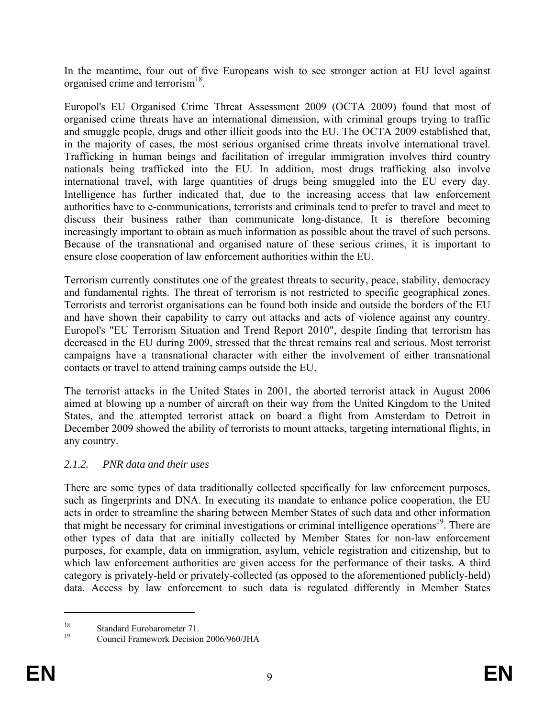In the meantime, four out of five Europeans wish to see stronger action at EU level against organised crime and terrorism<sup>18</sup>.

Europol's EU Organised Crime Threat Assessment 2009 (OCTA 2009) found that most of organised crime threats have an international dimension, with criminal groups trying to traffic and smuggle people, drugs and other illicit goods into the EU. The OCTA 2009 established that, in the majority of cases, the most serious organised crime threats involve international travel. Trafficking in human beings and facilitation of irregular immigration involves third country nationals being trafficked into the EU. In addition, most drugs trafficking also involve international travel, with large quantities of drugs being smuggled into the EU every day. Intelligence has further indicated that, due to the increasing access that law enforcement authorities have to e-communications, terrorists and criminals tend to prefer to travel and meet to discuss their business rather than communicate long-distance. It is therefore becoming increasingly important to obtain as much information as possible about the travel of such persons. Because of the transnational and organised nature of these serious crimes, it is important to ensure close cooperation of law enforcement authorities within the EU.

Terrorism currently constitutes one of the greatest threats to security, peace, stability, democracy and fundamental rights. The threat of terrorism is not restricted to specific geographical zones. Terrorists and terrorist organisations can be found both inside and outside the borders of the EU and have shown their capability to carry out attacks and acts of violence against any country. Europol's "EU Terrorism Situation and Trend Report 2010", despite finding that terrorism has decreased in the EU during 2009, stressed that the threat remains real and serious. Most terrorist campaigns have a transnational character with either the involvement of either transnational contacts or travel to attend training camps outside the EU.

The terrorist attacks in the United States in 2001, the aborted terrorist attack in August 2006 aimed at blowing up a number of aircraft on their way from the United Kingdom to the United States, and the attempted terrorist attack on board a flight from Amsterdam to Detroit in December 2009 showed the ability of terrorists to mount attacks, targeting international flights, in any country.

# *2.1.2. PNR data and their uses*

There are some types of data traditionally collected specifically for law enforcement purposes, such as fingerprints and DNA. In executing its mandate to enhance police cooperation, the EU acts in order to streamline the sharing between Member States of such data and other information that might be necessary for criminal investigations or criminal intelligence operations<sup>19</sup>. There are other types of data that are initially collected by Member States for non-law enforcement purposes, for example, data on immigration, asylum, vehicle registration and citizenship, but to which law enforcement authorities are given access for the performance of their tasks. A third category is privately-held or privately-collected (as opposed to the aforementioned publicly-held) data. Access by law enforcement to such data is regulated differently in Member States

<u>.</u>

<sup>&</sup>lt;sup>18</sup> Standard Eurobarometer 71.

<sup>19</sup> Council Framework Decision 2006/960/JHA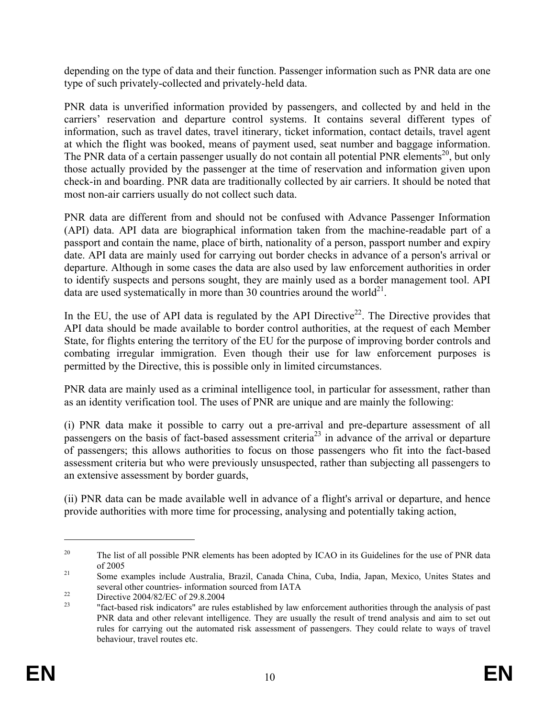depending on the type of data and their function. Passenger information such as PNR data are one type of such privately-collected and privately-held data.

PNR data is unverified information provided by passengers, and collected by and held in the carriers' reservation and departure control systems. It contains several different types of information, such as travel dates, travel itinerary, ticket information, contact details, travel agent at which the flight was booked, means of payment used, seat number and baggage information. The PNR data of a certain passenger usually do not contain all potential PNR elements<sup>20</sup>, but only those actually provided by the passenger at the time of reservation and information given upon check-in and boarding. PNR data are traditionally collected by air carriers. It should be noted that most non-air carriers usually do not collect such data.

PNR data are different from and should not be confused with Advance Passenger Information (API) data. API data are biographical information taken from the machine-readable part of a passport and contain the name, place of birth, nationality of a person, passport number and expiry date. API data are mainly used for carrying out border checks in advance of a person's arrival or departure. Although in some cases the data are also used by law enforcement authorities in order to identify suspects and persons sought, they are mainly used as a border management tool. API data are used systematically in more than 30 countries around the world<sup>21</sup>.

In the EU, the use of API data is regulated by the API Directive<sup>22</sup>. The Directive provides that API data should be made available to border control authorities, at the request of each Member State, for flights entering the territory of the EU for the purpose of improving border controls and combating irregular immigration. Even though their use for law enforcement purposes is permitted by the Directive, this is possible only in limited circumstances.

PNR data are mainly used as a criminal intelligence tool, in particular for assessment, rather than as an identity verification tool. The uses of PNR are unique and are mainly the following:

(i) PNR data make it possible to carry out a pre-arrival and pre-departure assessment of all passengers on the basis of fact-based assessment criteria<sup>23</sup> in advance of the arrival or departure of passengers; this allows authorities to focus on those passengers who fit into the fact-based assessment criteria but who were previously unsuspected, rather than subjecting all passengers to an extensive assessment by border guards,

(ii) PNR data can be made available well in advance of a flight's arrival or departure, and hence provide authorities with more time for processing, analysing and potentially taking action,

<sup>&</sup>lt;sup>20</sup> The list of all possible PNR elements has been adopted by ICAO in its Guidelines for the use of PNR data of 2005 21<br><sup>21</sup> Some examples include Australia, Brazil, Canada China, Cuba, India, Japan, Mexico, Unites States and

several other countries- information sourced from IATA<br>Directive 2004/82/EC of 29.8.2004

<sup>23 &</sup>quot;fact-based risk indicators" are rules established by law enforcement authorities through the analysis of past PNR data and other relevant intelligence. They are usually the result of trend analysis and aim to set out rules for carrying out the automated risk assessment of passengers. They could relate to ways of travel behaviour, travel routes etc.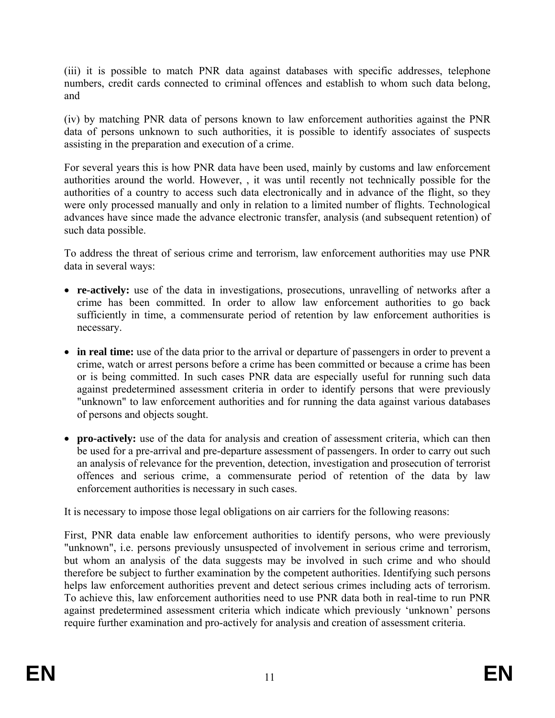(iii) it is possible to match PNR data against databases with specific addresses, telephone numbers, credit cards connected to criminal offences and establish to whom such data belong, and

(iv) by matching PNR data of persons known to law enforcement authorities against the PNR data of persons unknown to such authorities, it is possible to identify associates of suspects assisting in the preparation and execution of a crime.

For several years this is how PNR data have been used, mainly by customs and law enforcement authorities around the world. However, , it was until recently not technically possible for the authorities of a country to access such data electronically and in advance of the flight, so they were only processed manually and only in relation to a limited number of flights. Technological advances have since made the advance electronic transfer, analysis (and subsequent retention) of such data possible.

To address the threat of serious crime and terrorism, law enforcement authorities may use PNR data in several ways:

- **re-actively:** use of the data in investigations, prosecutions, unravelling of networks after a crime has been committed. In order to allow law enforcement authorities to go back sufficiently in time, a commensurate period of retention by law enforcement authorities is necessary.
- **in real time:** use of the data prior to the arrival or departure of passengers in order to prevent a crime, watch or arrest persons before a crime has been committed or because a crime has been or is being committed. In such cases PNR data are especially useful for running such data against predetermined assessment criteria in order to identify persons that were previously "unknown" to law enforcement authorities and for running the data against various databases of persons and objects sought.
- **pro-actively:** use of the data for analysis and creation of assessment criteria, which can then be used for a pre-arrival and pre-departure assessment of passengers. In order to carry out such an analysis of relevance for the prevention, detection, investigation and prosecution of terrorist offences and serious crime, a commensurate period of retention of the data by law enforcement authorities is necessary in such cases.

It is necessary to impose those legal obligations on air carriers for the following reasons:

First, PNR data enable law enforcement authorities to identify persons, who were previously "unknown", i.e. persons previously unsuspected of involvement in serious crime and terrorism, but whom an analysis of the data suggests may be involved in such crime and who should therefore be subject to further examination by the competent authorities. Identifying such persons helps law enforcement authorities prevent and detect serious crimes including acts of terrorism. To achieve this, law enforcement authorities need to use PNR data both in real-time to run PNR against predetermined assessment criteria which indicate which previously 'unknown' persons require further examination and pro-actively for analysis and creation of assessment criteria.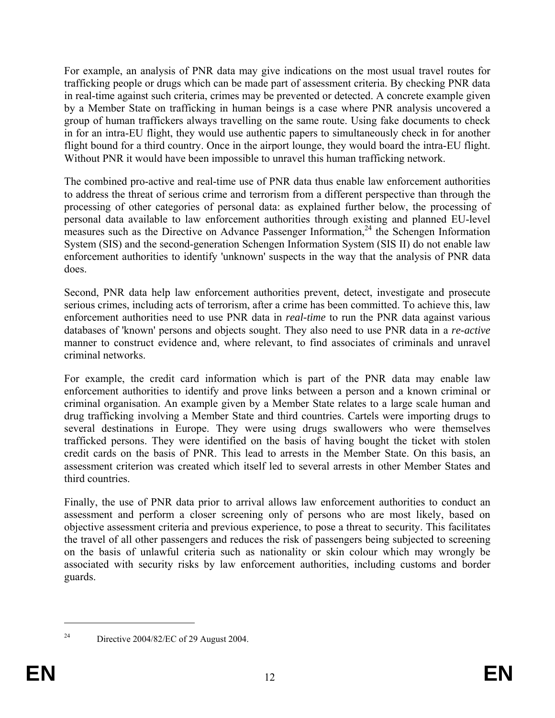For example, an analysis of PNR data may give indications on the most usual travel routes for trafficking people or drugs which can be made part of assessment criteria. By checking PNR data in real-time against such criteria, crimes may be prevented or detected. A concrete example given by a Member State on trafficking in human beings is a case where PNR analysis uncovered a group of human traffickers always travelling on the same route. Using fake documents to check in for an intra-EU flight, they would use authentic papers to simultaneously check in for another flight bound for a third country. Once in the airport lounge, they would board the intra-EU flight. Without PNR it would have been impossible to unravel this human trafficking network.

The combined pro-active and real-time use of PNR data thus enable law enforcement authorities to address the threat of serious crime and terrorism from a different perspective than through the processing of other categories of personal data: as explained further below, the processing of personal data available to law enforcement authorities through existing and planned EU-level measures such as the Directive on Advance Passenger Information,<sup>24</sup> the Schengen Information System (SIS) and the second-generation Schengen Information System (SIS II) do not enable law enforcement authorities to identify 'unknown' suspects in the way that the analysis of PNR data does.

Second, PNR data help law enforcement authorities prevent, detect, investigate and prosecute serious crimes, including acts of terrorism, after a crime has been committed. To achieve this, law enforcement authorities need to use PNR data in *real-time* to run the PNR data against various databases of 'known' persons and objects sought. They also need to use PNR data in a *re-active* manner to construct evidence and, where relevant, to find associates of criminals and unravel criminal networks.

For example, the credit card information which is part of the PNR data may enable law enforcement authorities to identify and prove links between a person and a known criminal or criminal organisation. An example given by a Member State relates to a large scale human and drug trafficking involving a Member State and third countries. Cartels were importing drugs to several destinations in Europe. They were using drugs swallowers who were themselves trafficked persons. They were identified on the basis of having bought the ticket with stolen credit cards on the basis of PNR. This lead to arrests in the Member State. On this basis, an assessment criterion was created which itself led to several arrests in other Member States and third countries.

Finally, the use of PNR data prior to arrival allows law enforcement authorities to conduct an assessment and perform a closer screening only of persons who are most likely, based on objective assessment criteria and previous experience, to pose a threat to security. This facilitates the travel of all other passengers and reduces the risk of passengers being subjected to screening on the basis of unlawful criteria such as nationality or skin colour which may wrongly be associated with security risks by law enforcement authorities, including customs and border guards.

<sup>1</sup> 

<sup>&</sup>lt;sup>24</sup> Directive 2004/82/EC of 29 August 2004.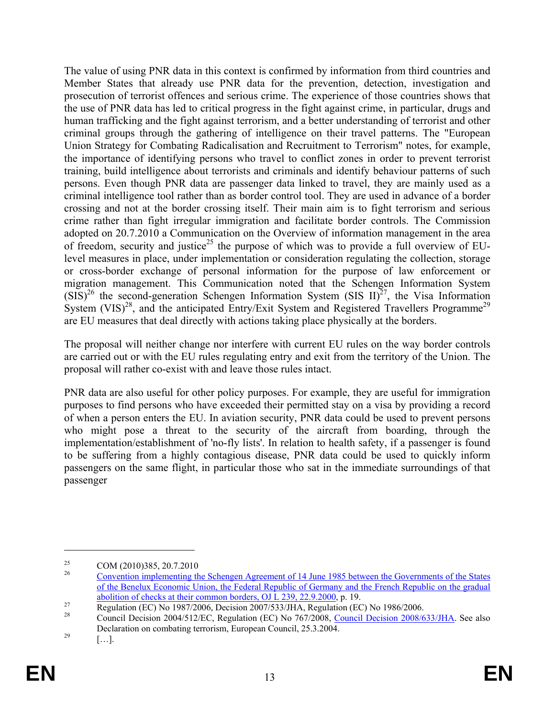The value of using PNR data in this context is confirmed by information from third countries and Member States that already use PNR data for the prevention, detection, investigation and prosecution of terrorist offences and serious crime. The experience of those countries shows that the use of PNR data has led to critical progress in the fight against crime, in particular, drugs and human trafficking and the fight against terrorism, and a better understanding of terrorist and other criminal groups through the gathering of intelligence on their travel patterns. The "European Union Strategy for Combating Radicalisation and Recruitment to Terrorism" notes, for example, the importance of identifying persons who travel to conflict zones in order to prevent terrorist training, build intelligence about terrorists and criminals and identify behaviour patterns of such persons. Even though PNR data are passenger data linked to travel, they are mainly used as a criminal intelligence tool rather than as border control tool. They are used in advance of a border crossing and not at the border crossing itself. Their main aim is to fight terrorism and serious crime rather than fight irregular immigration and facilitate border controls. The Commission adopted on 20.7.2010 a Communication on the Overview of information management in the area of freedom, security and justice<sup>25</sup> the purpose of which was to provide a full overview of EUlevel measures in place, under implementation or consideration regulating the collection, storage or cross-border exchange of personal information for the purpose of law enforcement or migration management. This Communication noted that the Schengen Information System  $(SIS)^{26}$  the second-generation Schengen Information System (SIS II)<sup>27</sup>, the Visa Information System  $(VIS)^{28}$ , and the anticipated Entry/Exit System and Registered Travellers Programme<sup>29</sup> are EU measures that deal directly with actions taking place physically at the borders.

The proposal will neither change nor interfere with current EU rules on the way border controls are carried out or with the EU rules regulating entry and exit from the territory of the Union. The proposal will rather co-exist with and leave those rules intact.

PNR data are also useful for other policy purposes. For example, they are useful for immigration purposes to find persons who have exceeded their permitted stay on a visa by providing a record of when a person enters the EU. In aviation security, PNR data could be used to prevent persons who might pose a threat to the security of the aircraft from boarding, through the implementation/establishment of 'no-fly lists'. In relation to health safety, if a passenger is found to be suffering from a highly contagious disease, PNR data could be used to quickly inform passengers on the same flight, in particular those who sat in the immediate surroundings of that passenger

<u>.</u>

<sup>&</sup>lt;sup>25</sup> COM (2010)385, 20.7.2010

<sup>26</sup> Convention implementing the Schengen Agreement of 14 June 1985 between the Governments of the States of the Benelux Economic Union, the Federal Republic of Germany and the French Republic on the gradual

abolition of checks at their common borders, OJ L 239, 22.9.2000, p. 19.<br>
Regulation (EC) No 1987/2006, Decision 2007/533/JHA, Regulation (EC) No 1986/2006.

<sup>28</sup> Council Decision 2004/512/EC, Regulation (EC) No 767/2008, Council Decision 2008/633/JHA. See also Declaration on combating terrorism, European Council, 25.3.2004.<br>[…].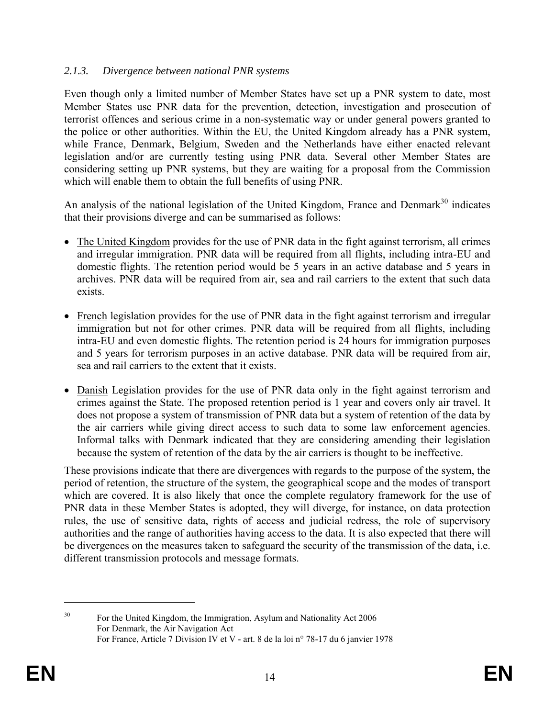### *2.1.3. Divergence between national PNR systems*

Even though only a limited number of Member States have set up a PNR system to date, most Member States use PNR data for the prevention, detection, investigation and prosecution of terrorist offences and serious crime in a non-systematic way or under general powers granted to the police or other authorities. Within the EU, the United Kingdom already has a PNR system, while France, Denmark, Belgium, Sweden and the Netherlands have either enacted relevant legislation and/or are currently testing using PNR data. Several other Member States are considering setting up PNR systems, but they are waiting for a proposal from the Commission which will enable them to obtain the full benefits of using PNR.

An analysis of the national legislation of the United Kingdom, France and Denmark<sup>30</sup> indicates that their provisions diverge and can be summarised as follows:

- The United Kingdom provides for the use of PNR data in the fight against terrorism, all crimes and irregular immigration. PNR data will be required from all flights, including intra-EU and domestic flights. The retention period would be 5 years in an active database and 5 years in archives. PNR data will be required from air, sea and rail carriers to the extent that such data exists.
- French legislation provides for the use of PNR data in the fight against terrorism and irregular immigration but not for other crimes. PNR data will be required from all flights, including intra-EU and even domestic flights. The retention period is 24 hours for immigration purposes and 5 years for terrorism purposes in an active database. PNR data will be required from air, sea and rail carriers to the extent that it exists.
- Danish Legislation provides for the use of PNR data only in the fight against terrorism and crimes against the State. The proposed retention period is 1 year and covers only air travel. It does not propose a system of transmission of PNR data but a system of retention of the data by the air carriers while giving direct access to such data to some law enforcement agencies. Informal talks with Denmark indicated that they are considering amending their legislation because the system of retention of the data by the air carriers is thought to be ineffective.

These provisions indicate that there are divergences with regards to the purpose of the system, the period of retention, the structure of the system, the geographical scope and the modes of transport which are covered. It is also likely that once the complete regulatory framework for the use of PNR data in these Member States is adopted, they will diverge, for instance, on data protection rules, the use of sensitive data, rights of access and judicial redress, the role of supervisory authorities and the range of authorities having access to the data. It is also expected that there will be divergences on the measures taken to safeguard the security of the transmission of the data, i.e. different transmission protocols and message formats.

<sup>&</sup>lt;sup>30</sup> For the United Kingdom, the Immigration, Asylum and Nationality Act 2006 For Denmark, the Air Navigation Act For France, Article 7 Division IV et V - art. 8 de la loi n° 78-17 du 6 janvier 1978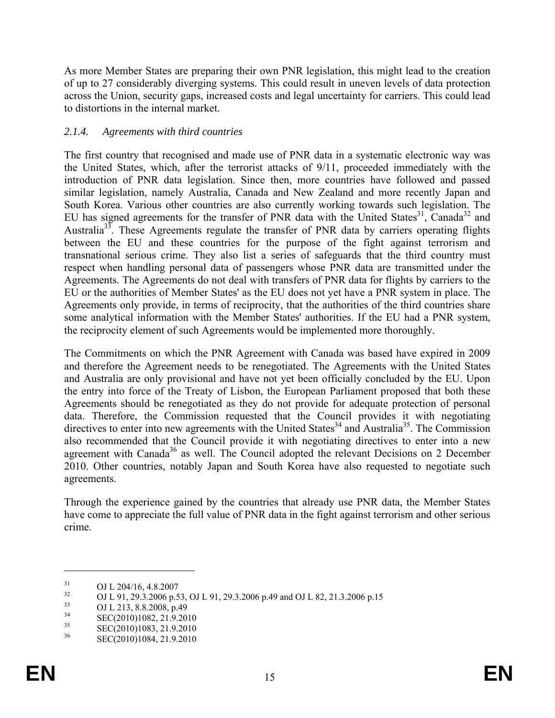As more Member States are preparing their own PNR legislation, this might lead to the creation of up to 27 considerably diverging systems. This could result in uneven levels of data protection across the Union, security gaps, increased costs and legal uncertainty for carriers. This could lead to distortions in the internal market.

### *2.1.4. Agreements with third countries*

The first country that recognised and made use of PNR data in a systematic electronic way was the United States, which, after the terrorist attacks of 9/11, proceeded immediately with the introduction of PNR data legislation. Since then, more countries have followed and passed similar legislation, namely Australia, Canada and New Zealand and more recently Japan and South Korea. Various other countries are also currently working towards such legislation. The EU has signed agreements for the transfer of PNR data with the United States<sup>31</sup>, Canada<sup>32</sup> and Australia<sup>33</sup>. These Agreements regulate the transfer of PNR data by carriers operating flights between the EU and these countries for the purpose of the fight against terrorism and transnational serious crime. They also list a series of safeguards that the third country must respect when handling personal data of passengers whose PNR data are transmitted under the Agreements. The Agreements do not deal with transfers of PNR data for flights by carriers to the EU or the authorities of Member States' as the EU does not yet have a PNR system in place. The Agreements only provide, in terms of reciprocity, that the authorities of the third countries share some analytical information with the Member States' authorities. If the EU had a PNR system, the reciprocity element of such Agreements would be implemented more thoroughly.

The Commitments on which the PNR Agreement with Canada was based have expired in 2009 and therefore the Agreement needs to be renegotiated. The Agreements with the United States and Australia are only provisional and have not yet been officially concluded by the EU. Upon the entry into force of the Treaty of Lisbon, the European Parliament proposed that both these Agreements should be renegotiated as they do not provide for adequate protection of personal data. Therefore, the Commission requested that the Council provides it with negotiating directives to enter into new agreements with the United States<sup>34</sup> and Australia<sup>35</sup>. The Commission also recommended that the Council provide it with negotiating directives to enter into a new agreement with Canada<sup>36</sup> as well. The Council adopted the relevant Decisions on 2 December 2010. Other countries, notably Japan and South Korea have also requested to negotiate such agreements.

Through the experience gained by the countries that already use PNR data, the Member States have come to appreciate the full value of PNR data in the fight against terrorism and other serious crime.

 $^{31}_{32}$  OJ L 204/16, 4.8.2007

<sup>&</sup>lt;sup>32</sup> OJ L 91, 29.3.2006 p.53, OJ L 91, 29.3.2006 p.49 and OJ L 82, 21.3.2006 p.15

 $\frac{33}{34}$  OJ L 213, 8.8.2008, p.49

 $\frac{34}{35}$  SEC(2010)1082, 21.9.2010

 $\text{SEC}(2010)1083, 21.9.2010$ <br>36 SEC(2010)1084, 21.9.2010

<sup>36</sup> SEC(2010)1084, 21.9.2010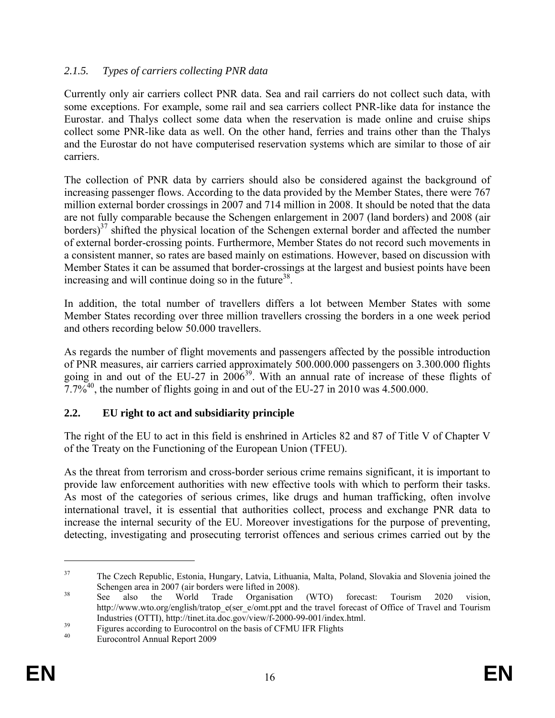# *2.1.5. Types of carriers collecting PNR data*

Currently only air carriers collect PNR data. Sea and rail carriers do not collect such data, with some exceptions. For example, some rail and sea carriers collect PNR-like data for instance the Eurostar. and Thalys collect some data when the reservation is made online and cruise ships collect some PNR-like data as well. On the other hand, ferries and trains other than the Thalys and the Eurostar do not have computerised reservation systems which are similar to those of air carriers.

The collection of PNR data by carriers should also be considered against the background of increasing passenger flows. According to the data provided by the Member States, there were 767 million external border crossings in 2007 and 714 million in 2008. It should be noted that the data are not fully comparable because the Schengen enlargement in 2007 (land borders) and 2008 (air borders)<sup>37</sup> shifted the physical location of the Schengen external border and affected the number of external border-crossing points. Furthermore, Member States do not record such movements in a consistent manner, so rates are based mainly on estimations. However, based on discussion with Member States it can be assumed that border-crossings at the largest and busiest points have been increasing and will continue doing so in the future<sup>38</sup>.

In addition, the total number of travellers differs a lot between Member States with some Member States recording over three million travellers crossing the borders in a one week period and others recording below 50.000 travellers.

As regards the number of flight movements and passengers affected by the possible introduction of PNR measures, air carriers carried approximately 500.000.000 passengers on 3.300.000 flights going in and out of the EU-27 in 2006<sup>39</sup>. With an annual rate of increase of these flights of  $7.7\%$ <sup>40</sup>, the number of flights going in and out of the EU-27 in 2010 was 4.500.000.

# **2.2. EU right to act and subsidiarity principle**

The right of the EU to act in this field is enshrined in Articles 82 and 87 of Title V of Chapter V of the Treaty on the Functioning of the European Union (TFEU).

As the threat from terrorism and cross-border serious crime remains significant, it is important to provide law enforcement authorities with new effective tools with which to perform their tasks. As most of the categories of serious crimes, like drugs and human trafficking, often involve international travel, it is essential that authorities collect, process and exchange PNR data to increase the internal security of the EU. Moreover investigations for the purpose of preventing, detecting, investigating and prosecuting terrorist offences and serious crimes carried out by the

<sup>&</sup>lt;sup>37</sup> The Czech Republic, Estonia, Hungary, Latvia, Lithuania, Malta, Poland, Slovakia and Slovenia joined the Schengen area in 2007 (air borders were lifted in 2008).<br><sup>38</sup> See also the World Trade Organisation (WTO) forecast: Tourism 2020 vision,

http://www.wto.org/english/tratop\_e(ser\_e/omt.ppt and the travel forecast of Office of Travel and Tourism Industries (OTTI), http://tinet.ita.doc.gov/view/f-2000-99-001/index.html.<br>Figures according to Eurocontrol on the basis of CFMU IFR Flights<br>Francescated Annual Base of 2000

<sup>40</sup> Eurocontrol Annual Report 2009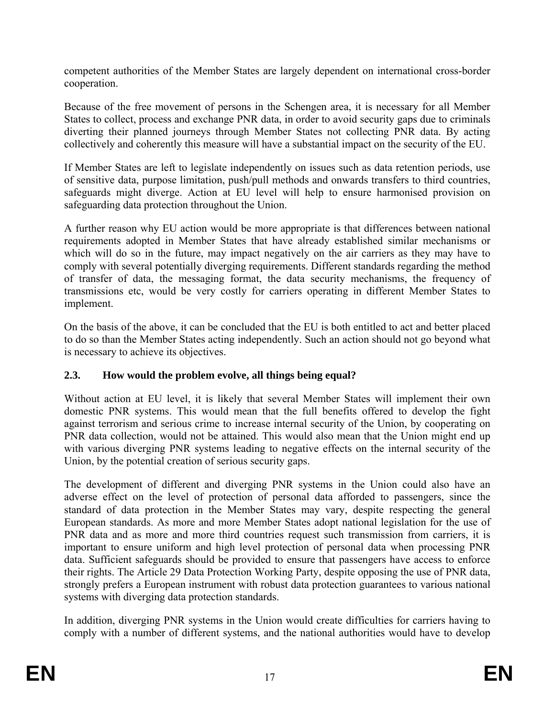competent authorities of the Member States are largely dependent on international cross-border cooperation.

Because of the free movement of persons in the Schengen area, it is necessary for all Member States to collect, process and exchange PNR data, in order to avoid security gaps due to criminals diverting their planned journeys through Member States not collecting PNR data. By acting collectively and coherently this measure will have a substantial impact on the security of the EU.

If Member States are left to legislate independently on issues such as data retention periods, use of sensitive data, purpose limitation, push/pull methods and onwards transfers to third countries, safeguards might diverge. Action at EU level will help to ensure harmonised provision on safeguarding data protection throughout the Union.

A further reason why EU action would be more appropriate is that differences between national requirements adopted in Member States that have already established similar mechanisms or which will do so in the future, may impact negatively on the air carriers as they may have to comply with several potentially diverging requirements. Different standards regarding the method of transfer of data, the messaging format, the data security mechanisms, the frequency of transmissions etc, would be very costly for carriers operating in different Member States to implement.

On the basis of the above, it can be concluded that the EU is both entitled to act and better placed to do so than the Member States acting independently. Such an action should not go beyond what is necessary to achieve its objectives.

# **2.3. How would the problem evolve, all things being equal?**

Without action at EU level, it is likely that several Member States will implement their own domestic PNR systems. This would mean that the full benefits offered to develop the fight against terrorism and serious crime to increase internal security of the Union, by cooperating on PNR data collection, would not be attained. This would also mean that the Union might end up with various diverging PNR systems leading to negative effects on the internal security of the Union, by the potential creation of serious security gaps.

The development of different and diverging PNR systems in the Union could also have an adverse effect on the level of protection of personal data afforded to passengers, since the standard of data protection in the Member States may vary, despite respecting the general European standards. As more and more Member States adopt national legislation for the use of PNR data and as more and more third countries request such transmission from carriers, it is important to ensure uniform and high level protection of personal data when processing PNR data. Sufficient safeguards should be provided to ensure that passengers have access to enforce their rights. The Article 29 Data Protection Working Party, despite opposing the use of PNR data, strongly prefers a European instrument with robust data protection guarantees to various national systems with diverging data protection standards.

In addition, diverging PNR systems in the Union would create difficulties for carriers having to comply with a number of different systems, and the national authorities would have to develop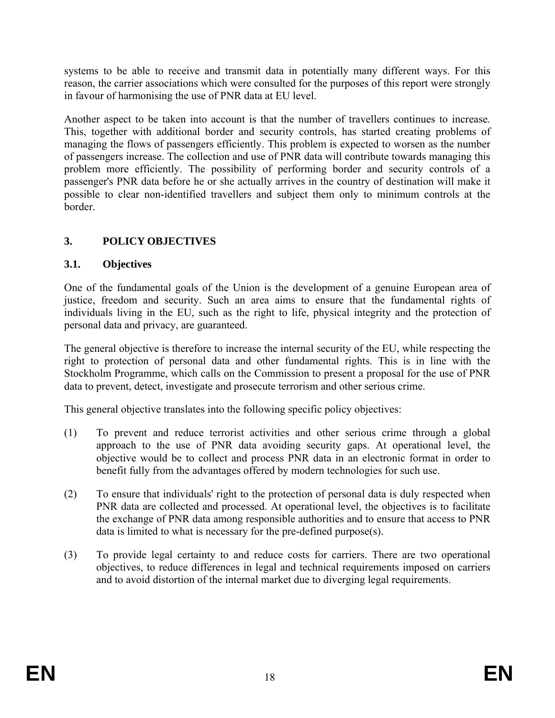systems to be able to receive and transmit data in potentially many different ways. For this reason, the carrier associations which were consulted for the purposes of this report were strongly in favour of harmonising the use of PNR data at EU level.

Another aspect to be taken into account is that the number of travellers continues to increase. This, together with additional border and security controls, has started creating problems of managing the flows of passengers efficiently. This problem is expected to worsen as the number of passengers increase. The collection and use of PNR data will contribute towards managing this problem more efficiently. The possibility of performing border and security controls of a passenger's PNR data before he or she actually arrives in the country of destination will make it possible to clear non-identified travellers and subject them only to minimum controls at the **border** 

# **3. POLICY OBJECTIVES**

### **3.1. Objectives**

One of the fundamental goals of the Union is the development of a genuine European area of justice, freedom and security. Such an area aims to ensure that the fundamental rights of individuals living in the EU, such as the right to life, physical integrity and the protection of personal data and privacy, are guaranteed.

The general objective is therefore to increase the internal security of the EU, while respecting the right to protection of personal data and other fundamental rights. This is in line with the Stockholm Programme, which calls on the Commission to present a proposal for the use of PNR data to prevent, detect, investigate and prosecute terrorism and other serious crime.

This general objective translates into the following specific policy objectives:

- (1) To prevent and reduce terrorist activities and other serious crime through a global approach to the use of PNR data avoiding security gaps. At operational level, the objective would be to collect and process PNR data in an electronic format in order to benefit fully from the advantages offered by modern technologies for such use.
- (2) To ensure that individuals' right to the protection of personal data is duly respected when PNR data are collected and processed. At operational level, the objectives is to facilitate the exchange of PNR data among responsible authorities and to ensure that access to PNR data is limited to what is necessary for the pre-defined purpose(s).
- (3) To provide legal certainty to and reduce costs for carriers. There are two operational objectives, to reduce differences in legal and technical requirements imposed on carriers and to avoid distortion of the internal market due to diverging legal requirements.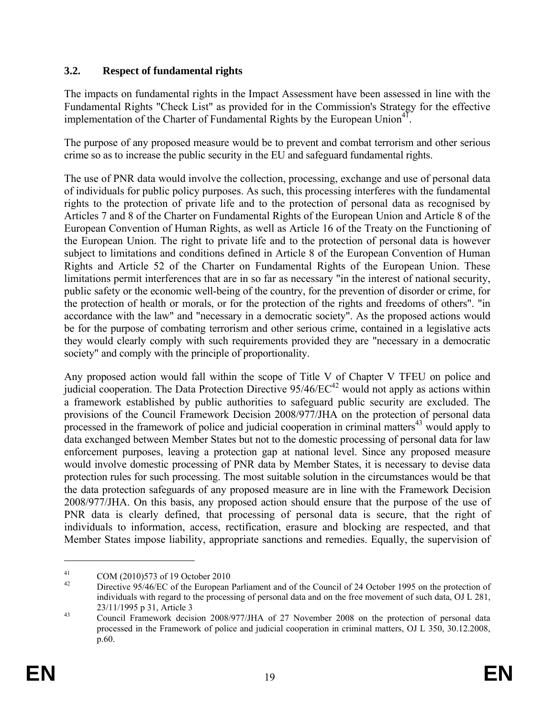# **3.2. Respect of fundamental rights**

The impacts on fundamental rights in the Impact Assessment have been assessed in line with the Fundamental Rights "Check List" as provided for in the Commission's Strategy for the effective implementation of the Charter of Fundamental Rights by the European Union<sup>41</sup>.

The purpose of any proposed measure would be to prevent and combat terrorism and other serious crime so as to increase the public security in the EU and safeguard fundamental rights.

The use of PNR data would involve the collection, processing, exchange and use of personal data of individuals for public policy purposes. As such, this processing interferes with the fundamental rights to the protection of private life and to the protection of personal data as recognised by Articles 7 and 8 of the Charter on Fundamental Rights of the European Union and Article 8 of the European Convention of Human Rights, as well as Article 16 of the Treaty on the Functioning of the European Union. The right to private life and to the protection of personal data is however subject to limitations and conditions defined in Article 8 of the European Convention of Human Rights and Article 52 of the Charter on Fundamental Rights of the European Union. These limitations permit interferences that are in so far as necessary "in the interest of national security, public safety or the economic well-being of the country, for the prevention of disorder or crime, for the protection of health or morals, or for the protection of the rights and freedoms of others". "in accordance with the law" and "necessary in a democratic society". As the proposed actions would be for the purpose of combating terrorism and other serious crime, contained in a legislative acts they would clearly comply with such requirements provided they are "necessary in a democratic society" and comply with the principle of proportionality.

Any proposed action would fall within the scope of Title V of Chapter V TFEU on police and judicial cooperation. The Data Protection Directive  $95/46/EC^{42}$  would not apply as actions within a framework established by public authorities to safeguard public security are excluded. The provisions of the Council Framework Decision 2008/977/JHA on the protection of personal data processed in the framework of police and judicial cooperation in criminal matters $43$  would apply to data exchanged between Member States but not to the domestic processing of personal data for law enforcement purposes, leaving a protection gap at national level. Since any proposed measure would involve domestic processing of PNR data by Member States, it is necessary to devise data protection rules for such processing. The most suitable solution in the circumstances would be that the data protection safeguards of any proposed measure are in line with the Framework Decision 2008/977/JHA. On this basis, any proposed action should ensure that the purpose of the use of PNR data is clearly defined, that processing of personal data is secure, that the right of individuals to information, access, rectification, erasure and blocking are respected, and that Member States impose liability, appropriate sanctions and remedies. Equally, the supervision of

<sup>&</sup>lt;sup>41</sup> COM (2010)573 of 19 October 2010

Directive 95/46/EC of the European Parliament and of the Council of 24 October 1995 on the protection of individuals with regard to the processing of personal data and on the free movement of such data, OJ L 281,

<sup>23/11/1995</sup> p 31, Article 3<br>  $\frac{43}{4}$  Council Framework decision 2008/977/JHA of 27 November 2008 on the protection of personal data processed in the Framework of police and judicial cooperation in criminal matters, OJ L 350, 30.12.2008, p.60.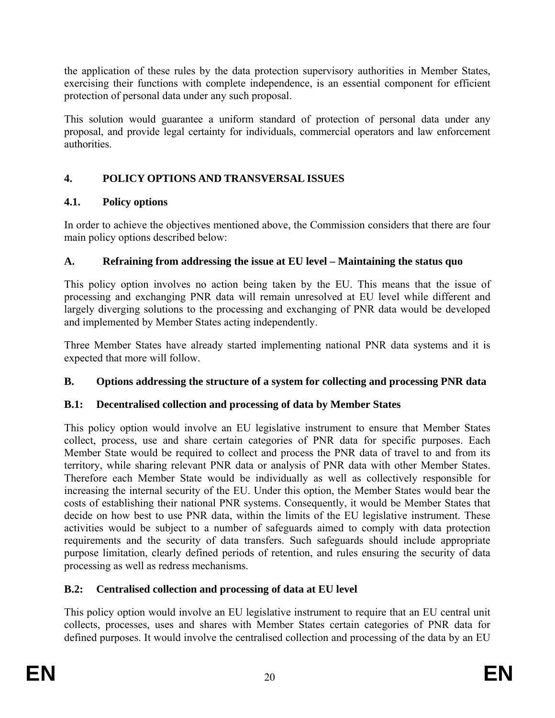the application of these rules by the data protection supervisory authorities in Member States, exercising their functions with complete independence, is an essential component for efficient protection of personal data under any such proposal.

This solution would guarantee a uniform standard of protection of personal data under any proposal, and provide legal certainty for individuals, commercial operators and law enforcement authorities.

# **4. POLICY OPTIONS AND TRANSVERSAL ISSUES**

# **4.1. Policy options**

In order to achieve the objectives mentioned above, the Commission considers that there are four main policy options described below:

# **A. Refraining from addressing the issue at EU level – Maintaining the status quo**

This policy option involves no action being taken by the EU. This means that the issue of processing and exchanging PNR data will remain unresolved at EU level while different and largely diverging solutions to the processing and exchanging of PNR data would be developed and implemented by Member States acting independently.

Three Member States have already started implementing national PNR data systems and it is expected that more will follow.

# **B. Options addressing the structure of a system for collecting and processing PNR data**

# **B.1: Decentralised collection and processing of data by Member States**

This policy option would involve an EU legislative instrument to ensure that Member States collect, process, use and share certain categories of PNR data for specific purposes. Each Member State would be required to collect and process the PNR data of travel to and from its territory, while sharing relevant PNR data or analysis of PNR data with other Member States. Therefore each Member State would be individually as well as collectively responsible for increasing the internal security of the EU. Under this option, the Member States would bear the costs of establishing their national PNR systems. Consequently, it would be Member States that decide on how best to use PNR data, within the limits of the EU legislative instrument. These activities would be subject to a number of safeguards aimed to comply with data protection requirements and the security of data transfers. Such safeguards should include appropriate purpose limitation, clearly defined periods of retention, and rules ensuring the security of data processing as well as redress mechanisms.

# **B.2: Centralised collection and processing of data at EU level**

This policy option would involve an EU legislative instrument to require that an EU central unit collects, processes, uses and shares with Member States certain categories of PNR data for defined purposes. It would involve the centralised collection and processing of the data by an EU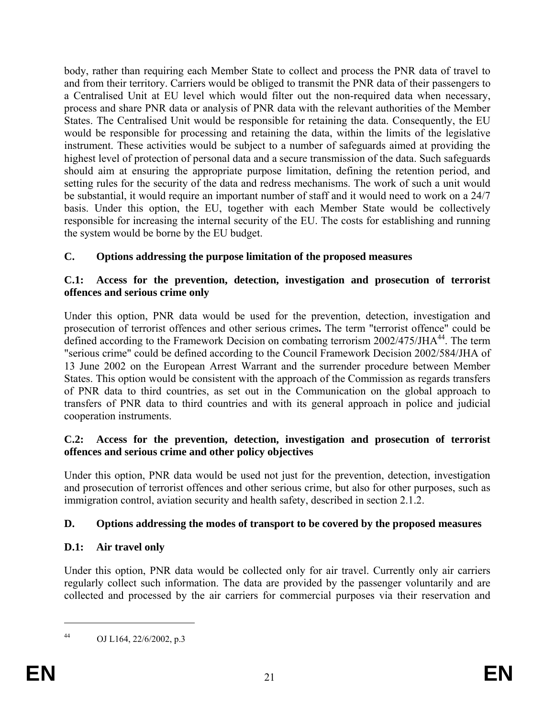body, rather than requiring each Member State to collect and process the PNR data of travel to and from their territory. Carriers would be obliged to transmit the PNR data of their passengers to a Centralised Unit at EU level which would filter out the non-required data when necessary, process and share PNR data or analysis of PNR data with the relevant authorities of the Member States. The Centralised Unit would be responsible for retaining the data. Consequently, the EU would be responsible for processing and retaining the data, within the limits of the legislative instrument. These activities would be subject to a number of safeguards aimed at providing the highest level of protection of personal data and a secure transmission of the data. Such safeguards should aim at ensuring the appropriate purpose limitation, defining the retention period, and setting rules for the security of the data and redress mechanisms. The work of such a unit would be substantial, it would require an important number of staff and it would need to work on a 24/7 basis. Under this option, the EU, together with each Member State would be collectively responsible for increasing the internal security of the EU. The costs for establishing and running the system would be borne by the EU budget.

# **C. Options addressing the purpose limitation of the proposed measures**

### **C.1: Access for the prevention, detection, investigation and prosecution of terrorist offences and serious crime only**

Under this option, PNR data would be used for the prevention, detection, investigation and prosecution of terrorist offences and other serious crimes**.** The term "terrorist offence" could be defined according to the Framework Decision on combating terrorism 2002/475/JHA<sup>44</sup>. The term "serious crime" could be defined according to the Council Framework Decision 2002/584/JHA of 13 June 2002 on the European Arrest Warrant and the surrender procedure between Member States. This option would be consistent with the approach of the Commission as regards transfers of PNR data to third countries, as set out in the Communication on the global approach to transfers of PNR data to third countries and with its general approach in police and judicial cooperation instruments.

### **C.2: Access for the prevention, detection, investigation and prosecution of terrorist offences and serious crime and other policy objectives**

Under this option, PNR data would be used not just for the prevention, detection, investigation and prosecution of terrorist offences and other serious crime, but also for other purposes, such as immigration control, aviation security and health safety, described in section 2.1.2.

# **D. Options addressing the modes of transport to be covered by the proposed measures**

# **D.1: Air travel only**

Under this option, PNR data would be collected only for air travel. Currently only air carriers regularly collect such information. The data are provided by the passenger voluntarily and are collected and processed by the air carriers for commercial purposes via their reservation and

<sup>44</sup> OJ L164, 22/6/2002, p.3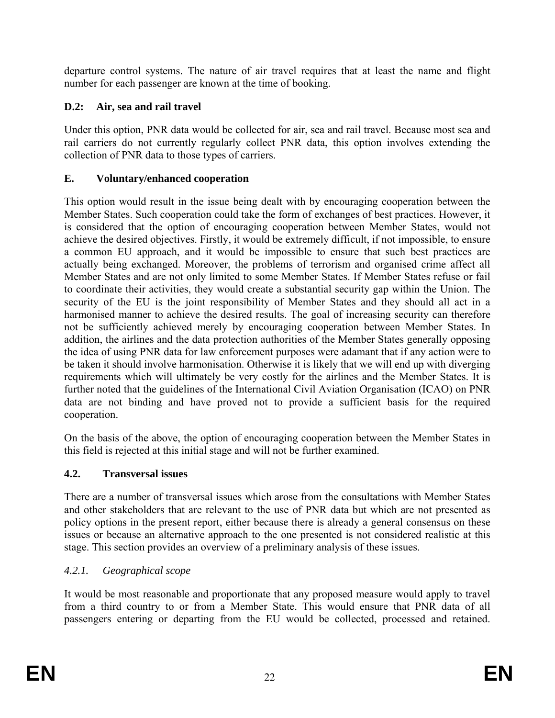departure control systems. The nature of air travel requires that at least the name and flight number for each passenger are known at the time of booking.

# **D.2: Air, sea and rail travel**

Under this option, PNR data would be collected for air, sea and rail travel. Because most sea and rail carriers do not currently regularly collect PNR data, this option involves extending the collection of PNR data to those types of carriers.

# **E. Voluntary/enhanced cooperation**

This option would result in the issue being dealt with by encouraging cooperation between the Member States. Such cooperation could take the form of exchanges of best practices. However, it is considered that the option of encouraging cooperation between Member States, would not achieve the desired objectives. Firstly, it would be extremely difficult, if not impossible, to ensure a common EU approach, and it would be impossible to ensure that such best practices are actually being exchanged. Moreover, the problems of terrorism and organised crime affect all Member States and are not only limited to some Member States. If Member States refuse or fail to coordinate their activities, they would create a substantial security gap within the Union. The security of the EU is the joint responsibility of Member States and they should all act in a harmonised manner to achieve the desired results. The goal of increasing security can therefore not be sufficiently achieved merely by encouraging cooperation between Member States. In addition, the airlines and the data protection authorities of the Member States generally opposing the idea of using PNR data for law enforcement purposes were adamant that if any action were to be taken it should involve harmonisation. Otherwise it is likely that we will end up with diverging requirements which will ultimately be very costly for the airlines and the Member States. It is further noted that the guidelines of the International Civil Aviation Organisation (ICAO) on PNR data are not binding and have proved not to provide a sufficient basis for the required cooperation.

On the basis of the above, the option of encouraging cooperation between the Member States in this field is rejected at this initial stage and will not be further examined.

# **4.2. Transversal issues**

There are a number of transversal issues which arose from the consultations with Member States and other stakeholders that are relevant to the use of PNR data but which are not presented as policy options in the present report, either because there is already a general consensus on these issues or because an alternative approach to the one presented is not considered realistic at this stage. This section provides an overview of a preliminary analysis of these issues.

# *4.2.1. Geographical scope*

It would be most reasonable and proportionate that any proposed measure would apply to travel from a third country to or from a Member State. This would ensure that PNR data of all passengers entering or departing from the EU would be collected, processed and retained.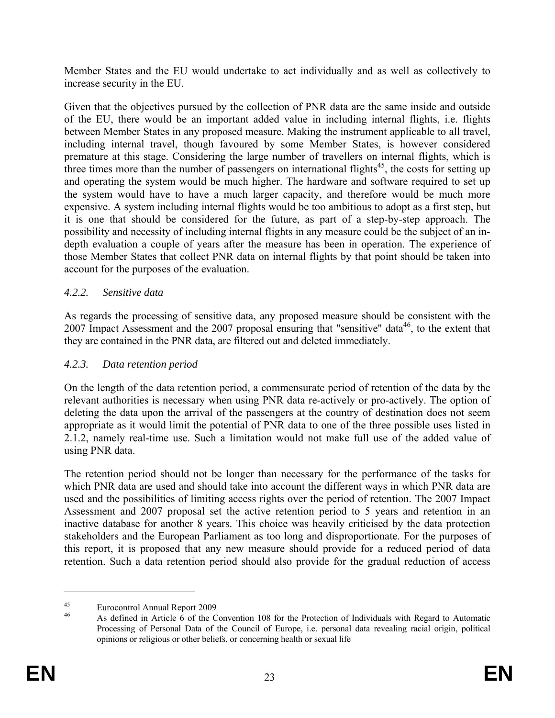Member States and the EU would undertake to act individually and as well as collectively to increase security in the EU.

Given that the objectives pursued by the collection of PNR data are the same inside and outside of the EU, there would be an important added value in including internal flights, i.e. flights between Member States in any proposed measure. Making the instrument applicable to all travel, including internal travel, though favoured by some Member States, is however considered premature at this stage. Considering the large number of travellers on internal flights, which is three times more than the number of passengers on international flights<sup>45</sup>, the costs for setting up and operating the system would be much higher. The hardware and software required to set up the system would have to have a much larger capacity, and therefore would be much more expensive. A system including internal flights would be too ambitious to adopt as a first step, but it is one that should be considered for the future, as part of a step-by-step approach. The possibility and necessity of including internal flights in any measure could be the subject of an indepth evaluation a couple of years after the measure has been in operation. The experience of those Member States that collect PNR data on internal flights by that point should be taken into account for the purposes of the evaluation.

### *4.2.2. Sensitive data*

As regards the processing of sensitive data, any proposed measure should be consistent with the 2007 Impact Assessment and the 2007 proposal ensuring that "sensitive" data<sup>46</sup>, to the extent that they are contained in the PNR data, are filtered out and deleted immediately.

# *4.2.3. Data retention period*

On the length of the data retention period, a commensurate period of retention of the data by the relevant authorities is necessary when using PNR data re-actively or pro-actively. The option of deleting the data upon the arrival of the passengers at the country of destination does not seem appropriate as it would limit the potential of PNR data to one of the three possible uses listed in 2.1.2, namely real-time use. Such a limitation would not make full use of the added value of using PNR data.

The retention period should not be longer than necessary for the performance of the tasks for which PNR data are used and should take into account the different ways in which PNR data are used and the possibilities of limiting access rights over the period of retention. The 2007 Impact Assessment and 2007 proposal set the active retention period to 5 years and retention in an inactive database for another 8 years. This choice was heavily criticised by the data protection stakeholders and the European Parliament as too long and disproportionate. For the purposes of this report, it is proposed that any new measure should provide for a reduced period of data retention. Such a data retention period should also provide for the gradual reduction of access

<sup>45</sup> Eurocontrol Annual Report 2009

<sup>46</sup> As defined in Article 6 of the Convention 108 for the Protection of Individuals with Regard to Automatic Processing of Personal Data of the Council of Europe, i.e. personal data revealing racial origin, political opinions or religious or other beliefs, or concerning health or sexual life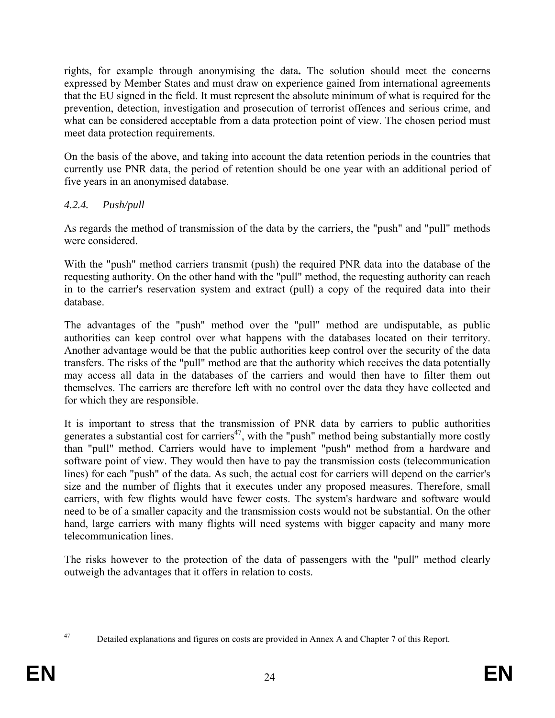rights, for example through anonymising the data**.** The solution should meet the concerns expressed by Member States and must draw on experience gained from international agreements that the EU signed in the field. It must represent the absolute minimum of what is required for the prevention, detection, investigation and prosecution of terrorist offences and serious crime, and what can be considered acceptable from a data protection point of view. The chosen period must meet data protection requirements.

On the basis of the above, and taking into account the data retention periods in the countries that currently use PNR data, the period of retention should be one year with an additional period of five years in an anonymised database.

### *4.2.4. Push/pull*

As regards the method of transmission of the data by the carriers, the "push" and "pull" methods were considered.

With the "push" method carriers transmit (push) the required PNR data into the database of the requesting authority. On the other hand with the "pull" method, the requesting authority can reach in to the carrier's reservation system and extract (pull) a copy of the required data into their database.

The advantages of the "push" method over the "pull" method are undisputable, as public authorities can keep control over what happens with the databases located on their territory. Another advantage would be that the public authorities keep control over the security of the data transfers. The risks of the "pull" method are that the authority which receives the data potentially may access all data in the databases of the carriers and would then have to filter them out themselves. The carriers are therefore left with no control over the data they have collected and for which they are responsible.

It is important to stress that the transmission of PNR data by carriers to public authorities generates a substantial cost for carriers<sup>47</sup>, with the "push" method being substantially more costly than "pull" method. Carriers would have to implement "push" method from a hardware and software point of view. They would then have to pay the transmission costs (telecommunication lines) for each "push" of the data. As such, the actual cost for carriers will depend on the carrier's size and the number of flights that it executes under any proposed measures. Therefore, small carriers, with few flights would have fewer costs. The system's hardware and software would need to be of a smaller capacity and the transmission costs would not be substantial. On the other hand, large carriers with many flights will need systems with bigger capacity and many more telecommunication lines.

The risks however to the protection of the data of passengers with the "pull" method clearly outweigh the advantages that it offers in relation to costs.

<sup>&</sup>lt;sup>47</sup> Detailed explanations and figures on costs are provided in Annex A and Chapter 7 of this Report.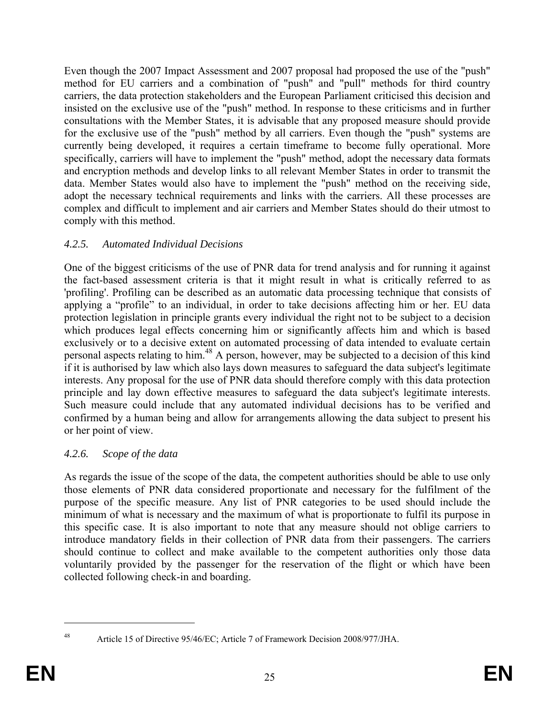Even though the 2007 Impact Assessment and 2007 proposal had proposed the use of the "push" method for EU carriers and a combination of "push" and "pull" methods for third country carriers, the data protection stakeholders and the European Parliament criticised this decision and insisted on the exclusive use of the "push" method. In response to these criticisms and in further consultations with the Member States, it is advisable that any proposed measure should provide for the exclusive use of the "push" method by all carriers. Even though the "push" systems are currently being developed, it requires a certain timeframe to become fully operational. More specifically, carriers will have to implement the "push" method, adopt the necessary data formats and encryption methods and develop links to all relevant Member States in order to transmit the data. Member States would also have to implement the "push" method on the receiving side, adopt the necessary technical requirements and links with the carriers. All these processes are complex and difficult to implement and air carriers and Member States should do their utmost to comply with this method.

# *4.2.5. Automated Individual Decisions*

One of the biggest criticisms of the use of PNR data for trend analysis and for running it against the fact-based assessment criteria is that it might result in what is critically referred to as 'profiling'. Profiling can be described as an automatic data processing technique that consists of applying a "profile" to an individual, in order to take decisions affecting him or her. EU data protection legislation in principle grants every individual the right not to be subject to a decision which produces legal effects concerning him or significantly affects him and which is based exclusively or to a decisive extent on automated processing of data intended to evaluate certain personal aspects relating to him.<sup>48</sup> A person, however, may be subjected to a decision of this kind if it is authorised by law which also lays down measures to safeguard the data subject's legitimate interests. Any proposal for the use of PNR data should therefore comply with this data protection principle and lay down effective measures to safeguard the data subject's legitimate interests. Such measure could include that any automated individual decisions has to be verified and confirmed by a human being and allow for arrangements allowing the data subject to present his or her point of view.

# *4.2.6. Scope of the data*

As regards the issue of the scope of the data, the competent authorities should be able to use only those elements of PNR data considered proportionate and necessary for the fulfilment of the purpose of the specific measure. Any list of PNR categories to be used should include the minimum of what is necessary and the maximum of what is proportionate to fulfil its purpose in this specific case. It is also important to note that any measure should not oblige carriers to introduce mandatory fields in their collection of PNR data from their passengers. The carriers should continue to collect and make available to the competent authorities only those data voluntarily provided by the passenger for the reservation of the flight or which have been collected following check-in and boarding.

<sup>48</sup> Article 15 of Directive 95/46/EC; Article 7 of Framework Decision 2008/977/JHA.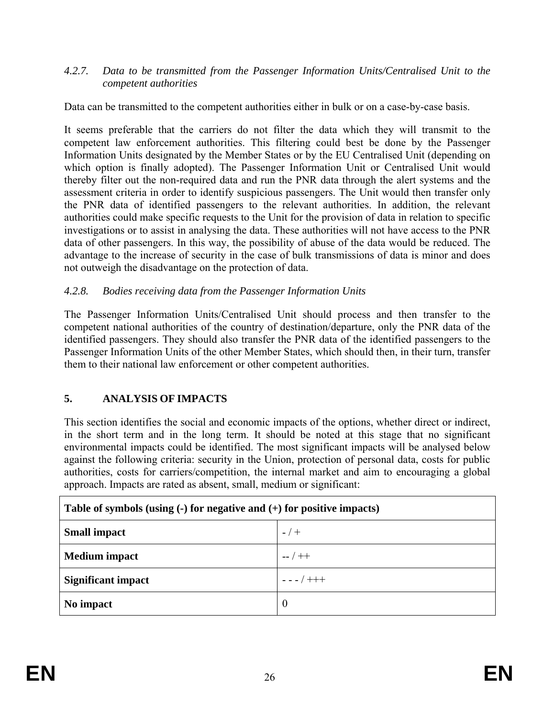### *4.2.7. Data to be transmitted from the Passenger Information Units/Centralised Unit to the competent authorities*

Data can be transmitted to the competent authorities either in bulk or on a case-by-case basis.

It seems preferable that the carriers do not filter the data which they will transmit to the competent law enforcement authorities. This filtering could best be done by the Passenger Information Units designated by the Member States or by the EU Centralised Unit (depending on which option is finally adopted). The Passenger Information Unit or Centralised Unit would thereby filter out the non-required data and run the PNR data through the alert systems and the assessment criteria in order to identify suspicious passengers. The Unit would then transfer only the PNR data of identified passengers to the relevant authorities. In addition, the relevant authorities could make specific requests to the Unit for the provision of data in relation to specific investigations or to assist in analysing the data. These authorities will not have access to the PNR data of other passengers. In this way, the possibility of abuse of the data would be reduced. The advantage to the increase of security in the case of bulk transmissions of data is minor and does not outweigh the disadvantage on the protection of data.

### *4.2.8. Bodies receiving data from the Passenger Information Units*

The Passenger Information Units/Centralised Unit should process and then transfer to the competent national authorities of the country of destination/departure, only the PNR data of the identified passengers. They should also transfer the PNR data of the identified passengers to the Passenger Information Units of the other Member States, which should then, in their turn, transfer them to their national law enforcement or other competent authorities.

# **5. ANALYSIS OF IMPACTS**

This section identifies the social and economic impacts of the options, whether direct or indirect, in the short term and in the long term. It should be noted at this stage that no significant environmental impacts could be identified. The most significant impacts will be analysed below against the following criteria: security in the Union, protection of personal data, costs for public authorities, costs for carriers/competition, the internal market and aim to encouraging a global approach. Impacts are rated as absent, small, medium or significant:

| Table of symbols (using $\left(\text{-}\right)$ for negative and $\left(\text{+}\right)$ for positive impacts) |                  |  |  |  |  |
|----------------------------------------------------------------------------------------------------------------|------------------|--|--|--|--|
| <b>Small impact</b>                                                                                            | $-7$             |  |  |  |  |
| <b>Medium</b> impact                                                                                           | $-$ / $+$        |  |  |  |  |
| <b>Significant impact</b>                                                                                      | $- - - / + + +$  |  |  |  |  |
| No impact                                                                                                      | $\boldsymbol{0}$ |  |  |  |  |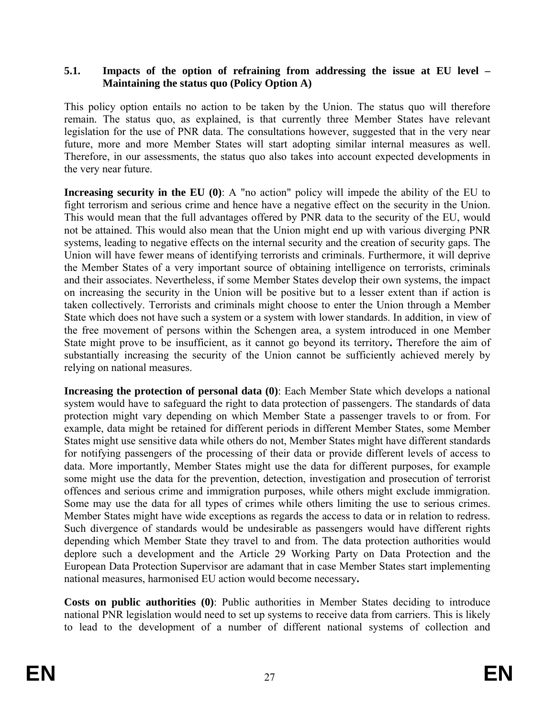### **5.1. Impacts of the option of refraining from addressing the issue at EU level – Maintaining the status quo (Policy Option A)**

This policy option entails no action to be taken by the Union. The status quo will therefore remain*.* The status quo, as explained, is that currently three Member States have relevant legislation for the use of PNR data. The consultations however, suggested that in the very near future, more and more Member States will start adopting similar internal measures as well. Therefore, in our assessments, the status quo also takes into account expected developments in the very near future.

**Increasing security in the EU (0)**: A "no action" policy will impede the ability of the EU to fight terrorism and serious crime and hence have a negative effect on the security in the Union. This would mean that the full advantages offered by PNR data to the security of the EU, would not be attained. This would also mean that the Union might end up with various diverging PNR systems, leading to negative effects on the internal security and the creation of security gaps. The Union will have fewer means of identifying terrorists and criminals. Furthermore, it will deprive the Member States of a very important source of obtaining intelligence on terrorists, criminals and their associates. Nevertheless, if some Member States develop their own systems, the impact on increasing the security in the Union will be positive but to a lesser extent than if action is taken collectively. Terrorists and criminals might choose to enter the Union through a Member State which does not have such a system or a system with lower standards. In addition, in view of the free movement of persons within the Schengen area, a system introduced in one Member State might prove to be insufficient, as it cannot go beyond its territory**.** Therefore the aim of substantially increasing the security of the Union cannot be sufficiently achieved merely by relying on national measures.

**Increasing the protection of personal data (0)**: Each Member State which develops a national system would have to safeguard the right to data protection of passengers. The standards of data protection might vary depending on which Member State a passenger travels to or from. For example, data might be retained for different periods in different Member States, some Member States might use sensitive data while others do not, Member States might have different standards for notifying passengers of the processing of their data or provide different levels of access to data. More importantly, Member States might use the data for different purposes, for example some might use the data for the prevention, detection, investigation and prosecution of terrorist offences and serious crime and immigration purposes, while others might exclude immigration. Some may use the data for all types of crimes while others limiting the use to serious crimes. Member States might have wide exceptions as regards the access to data or in relation to redress. Such divergence of standards would be undesirable as passengers would have different rights depending which Member State they travel to and from. The data protection authorities would deplore such a development and the Article 29 Working Party on Data Protection and the European Data Protection Supervisor are adamant that in case Member States start implementing national measures, harmonised EU action would become necessary**.**

**Costs on public authorities (0)**: Public authorities in Member States deciding to introduce national PNR legislation would need to set up systems to receive data from carriers. This is likely to lead to the development of a number of different national systems of collection and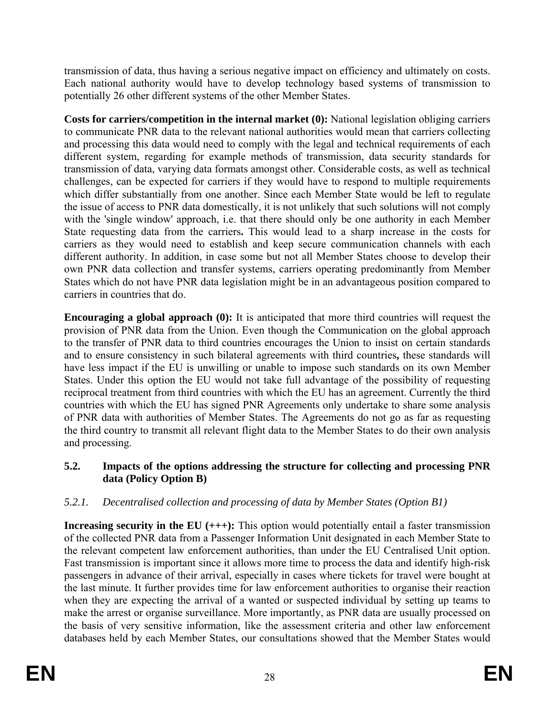transmission of data, thus having a serious negative impact on efficiency and ultimately on costs. Each national authority would have to develop technology based systems of transmission to potentially 26 other different systems of the other Member States.

**Costs for carriers/competition in the internal market (0):** National legislation obliging carriers to communicate PNR data to the relevant national authorities would mean that carriers collecting and processing this data would need to comply with the legal and technical requirements of each different system, regarding for example methods of transmission, data security standards for transmission of data, varying data formats amongst other. Considerable costs, as well as technical challenges, can be expected for carriers if they would have to respond to multiple requirements which differ substantially from one another. Since each Member State would be left to regulate the issue of access to PNR data domestically, it is not unlikely that such solutions will not comply with the 'single window' approach, i.e. that there should only be one authority in each Member State requesting data from the carriers**.** This would lead to a sharp increase in the costs for carriers as they would need to establish and keep secure communication channels with each different authority. In addition, in case some but not all Member States choose to develop their own PNR data collection and transfer systems, carriers operating predominantly from Member States which do not have PNR data legislation might be in an advantageous position compared to carriers in countries that do.

**Encouraging a global approach (0):** It is anticipated that more third countries will request the provision of PNR data from the Union. Even though the Communication on the global approach to the transfer of PNR data to third countries encourages the Union to insist on certain standards and to ensure consistency in such bilateral agreements with third countries**,** these standards will have less impact if the EU is unwilling or unable to impose such standards on its own Member States. Under this option the EU would not take full advantage of the possibility of requesting reciprocal treatment from third countries with which the EU has an agreement. Currently the third countries with which the EU has signed PNR Agreements only undertake to share some analysis of PNR data with authorities of Member States. The Agreements do not go as far as requesting the third country to transmit all relevant flight data to the Member States to do their own analysis and processing.

# **5.2. Impacts of the options addressing the structure for collecting and processing PNR data (Policy Option B)**

# *5.2.1. Decentralised collection and processing of data by Member States (Option B1)*

**Increasing security in the EU (+++):** This option would potentially entail a faster transmission of the collected PNR data from a Passenger Information Unit designated in each Member State to the relevant competent law enforcement authorities, than under the EU Centralised Unit option. Fast transmission is important since it allows more time to process the data and identify high-risk passengers in advance of their arrival, especially in cases where tickets for travel were bought at the last minute. It further provides time for law enforcement authorities to organise their reaction when they are expecting the arrival of a wanted or suspected individual by setting up teams to make the arrest or organise surveillance. More importantly, as PNR data are usually processed on the basis of very sensitive information, like the assessment criteria and other law enforcement databases held by each Member States, our consultations showed that the Member States would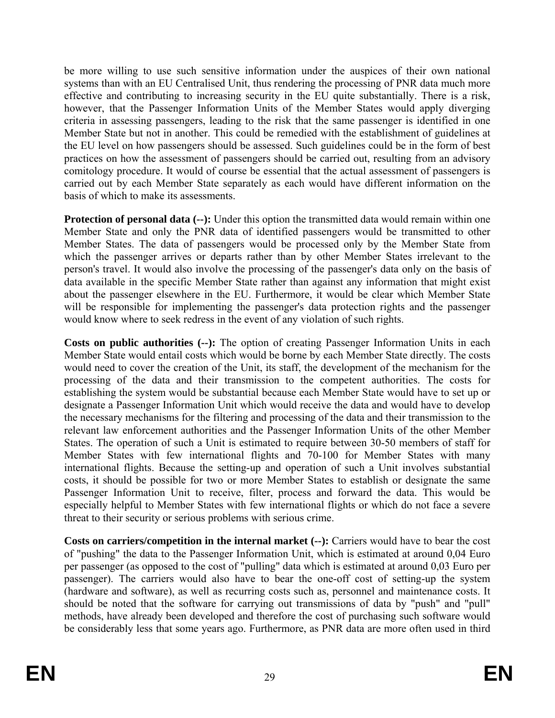be more willing to use such sensitive information under the auspices of their own national systems than with an EU Centralised Unit, thus rendering the processing of PNR data much more effective and contributing to increasing security in the EU quite substantially. There is a risk, however, that the Passenger Information Units of the Member States would apply diverging criteria in assessing passengers, leading to the risk that the same passenger is identified in one Member State but not in another. This could be remedied with the establishment of guidelines at the EU level on how passengers should be assessed. Such guidelines could be in the form of best practices on how the assessment of passengers should be carried out, resulting from an advisory comitology procedure. It would of course be essential that the actual assessment of passengers is carried out by each Member State separately as each would have different information on the basis of which to make its assessments.

**Protection of personal data (--):** Under this option the transmitted data would remain within one Member State and only the PNR data of identified passengers would be transmitted to other Member States. The data of passengers would be processed only by the Member State from which the passenger arrives or departs rather than by other Member States irrelevant to the person's travel. It would also involve the processing of the passenger's data only on the basis of data available in the specific Member State rather than against any information that might exist about the passenger elsewhere in the EU. Furthermore, it would be clear which Member State will be responsible for implementing the passenger's data protection rights and the passenger would know where to seek redress in the event of any violation of such rights.

**Costs on public authorities (--):** The option of creating Passenger Information Units in each Member State would entail costs which would be borne by each Member State directly. The costs would need to cover the creation of the Unit, its staff, the development of the mechanism for the processing of the data and their transmission to the competent authorities. The costs for establishing the system would be substantial because each Member State would have to set up or designate a Passenger Information Unit which would receive the data and would have to develop the necessary mechanisms for the filtering and processing of the data and their transmission to the relevant law enforcement authorities and the Passenger Information Units of the other Member States. The operation of such a Unit is estimated to require between 30-50 members of staff for Member States with few international flights and 70-100 for Member States with many international flights. Because the setting-up and operation of such a Unit involves substantial costs, it should be possible for two or more Member States to establish or designate the same Passenger Information Unit to receive, filter, process and forward the data. This would be especially helpful to Member States with few international flights or which do not face a severe threat to their security or serious problems with serious crime.

**Costs on carriers/competition in the internal market (--):** Carriers would have to bear the cost of "pushing" the data to the Passenger Information Unit, which is estimated at around 0,04 Euro per passenger (as opposed to the cost of "pulling" data which is estimated at around 0,03 Euro per passenger). The carriers would also have to bear the one-off cost of setting-up the system (hardware and software), as well as recurring costs such as, personnel and maintenance costs. It should be noted that the software for carrying out transmissions of data by "push" and "pull" methods, have already been developed and therefore the cost of purchasing such software would be considerably less that some years ago. Furthermore, as PNR data are more often used in third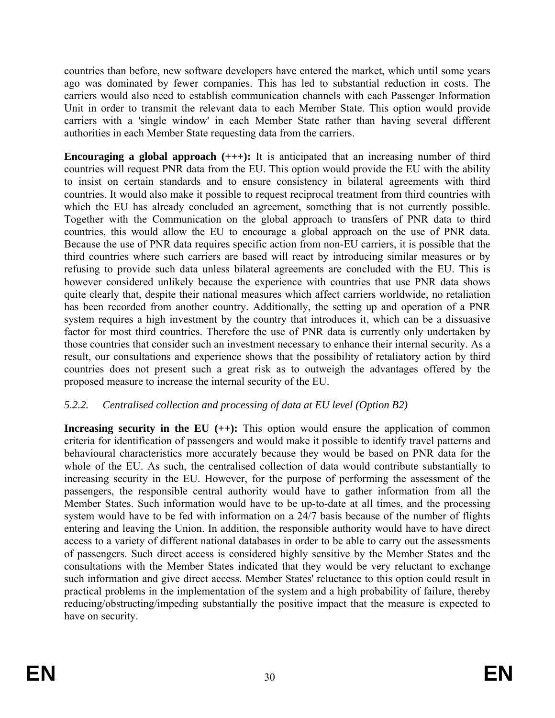countries than before, new software developers have entered the market, which until some years ago was dominated by fewer companies. This has led to substantial reduction in costs. The carriers would also need to establish communication channels with each Passenger Information Unit in order to transmit the relevant data to each Member State. This option would provide carriers with a 'single window' in each Member State rather than having several different authorities in each Member State requesting data from the carriers.

**Encouraging a global approach (+++):** It is anticipated that an increasing number of third countries will request PNR data from the EU. This option would provide the EU with the ability to insist on certain standards and to ensure consistency in bilateral agreements with third countries. It would also make it possible to request reciprocal treatment from third countries with which the EU has already concluded an agreement, something that is not currently possible. Together with the Communication on the global approach to transfers of PNR data to third countries, this would allow the EU to encourage a global approach on the use of PNR data. Because the use of PNR data requires specific action from non-EU carriers, it is possible that the third countries where such carriers are based will react by introducing similar measures or by refusing to provide such data unless bilateral agreements are concluded with the EU. This is however considered unlikely because the experience with countries that use PNR data shows quite clearly that, despite their national measures which affect carriers worldwide, no retaliation has been recorded from another country. Additionally, the setting up and operation of a PNR system requires a high investment by the country that introduces it, which can be a dissuasive factor for most third countries. Therefore the use of PNR data is currently only undertaken by those countries that consider such an investment necessary to enhance their internal security. As a result, our consultations and experience shows that the possibility of retaliatory action by third countries does not present such a great risk as to outweigh the advantages offered by the proposed measure to increase the internal security of the EU.

# *5.2.2. Centralised collection and processing of data at EU level (Option B2)*

**Increasing security in the EU** (++): This option would ensure the application of common criteria for identification of passengers and would make it possible to identify travel patterns and behavioural characteristics more accurately because they would be based on PNR data for the whole of the EU. As such, the centralised collection of data would contribute substantially to increasing security in the EU. However, for the purpose of performing the assessment of the passengers, the responsible central authority would have to gather information from all the Member States. Such information would have to be up-to-date at all times, and the processing system would have to be fed with information on a 24/7 basis because of the number of flights entering and leaving the Union. In addition, the responsible authority would have to have direct access to a variety of different national databases in order to be able to carry out the assessments of passengers. Such direct access is considered highly sensitive by the Member States and the consultations with the Member States indicated that they would be very reluctant to exchange such information and give direct access. Member States' reluctance to this option could result in practical problems in the implementation of the system and a high probability of failure, thereby reducing/obstructing/impeding substantially the positive impact that the measure is expected to have on security.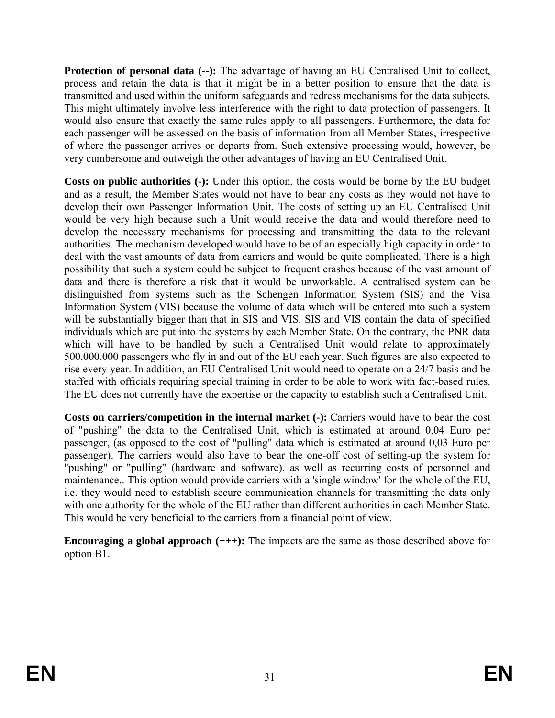**Protection of personal data (--):** The advantage of having an EU Centralised Unit to collect, process and retain the data is that it might be in a better position to ensure that the data is transmitted and used within the uniform safeguards and redress mechanisms for the data subjects. This might ultimately involve less interference with the right to data protection of passengers. It would also ensure that exactly the same rules apply to all passengers. Furthermore, the data for each passenger will be assessed on the basis of information from all Member States, irrespective of where the passenger arrives or departs from. Such extensive processing would, however, be very cumbersome and outweigh the other advantages of having an EU Centralised Unit.

**Costs on public authorities (-):** Under this option, the costs would be borne by the EU budget and as a result, the Member States would not have to bear any costs as they would not have to develop their own Passenger Information Unit. The costs of setting up an EU Centralised Unit would be very high because such a Unit would receive the data and would therefore need to develop the necessary mechanisms for processing and transmitting the data to the relevant authorities. The mechanism developed would have to be of an especially high capacity in order to deal with the vast amounts of data from carriers and would be quite complicated. There is a high possibility that such a system could be subject to frequent crashes because of the vast amount of data and there is therefore a risk that it would be unworkable. A centralised system can be distinguished from systems such as the Schengen Information System (SIS) and the Visa Information System (VIS) because the volume of data which will be entered into such a system will be substantially bigger than that in SIS and VIS. SIS and VIS contain the data of specified individuals which are put into the systems by each Member State. On the contrary, the PNR data which will have to be handled by such a Centralised Unit would relate to approximately 500.000.000 passengers who fly in and out of the EU each year. Such figures are also expected to rise every year. In addition, an EU Centralised Unit would need to operate on a 24/7 basis and be staffed with officials requiring special training in order to be able to work with fact-based rules. The EU does not currently have the expertise or the capacity to establish such a Centralised Unit.

**Costs on carriers/competition in the internal market (-):** Carriers would have to bear the cost of "pushing" the data to the Centralised Unit, which is estimated at around 0,04 Euro per passenger, (as opposed to the cost of "pulling" data which is estimated at around 0,03 Euro per passenger). The carriers would also have to bear the one-off cost of setting-up the system for "pushing" or "pulling" (hardware and software), as well as recurring costs of personnel and maintenance.. This option would provide carriers with a 'single window' for the whole of the EU, i.e. they would need to establish secure communication channels for transmitting the data only with one authority for the whole of the EU rather than different authorities in each Member State. This would be very beneficial to the carriers from a financial point of view.

**Encouraging a global approach (+++):** The impacts are the same as those described above for option B1.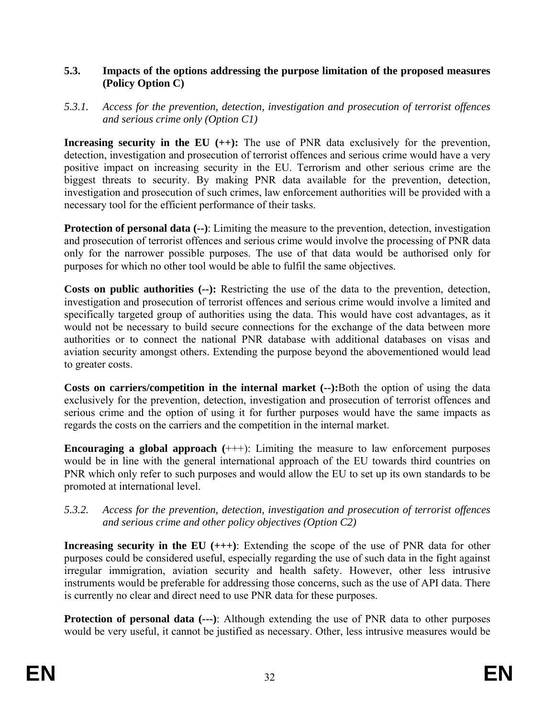### **5.3. Impacts of the options addressing the purpose limitation of the proposed measures (Policy Option C)**

### *5.3.1. Access for the prevention, detection, investigation and prosecution of terrorist offences and serious crime only (Option C1)*

**Increasing security in the EU (++):** The use of PNR data exclusively for the prevention, detection, investigation and prosecution of terrorist offences and serious crime would have a very positive impact on increasing security in the EU. Terrorism and other serious crime are the biggest threats to security. By making PNR data available for the prevention, detection, investigation and prosecution of such crimes, law enforcement authorities will be provided with a necessary tool for the efficient performance of their tasks.

**Protection of personal data**  $(-)$ **:** Limiting the measure to the prevention, detection, investigation and prosecution of terrorist offences and serious crime would involve the processing of PNR data only for the narrower possible purposes. The use of that data would be authorised only for purposes for which no other tool would be able to fulfil the same objectives.

**Costs on public authorities (--):** Restricting the use of the data to the prevention, detection, investigation and prosecution of terrorist offences and serious crime would involve a limited and specifically targeted group of authorities using the data. This would have cost advantages, as it would not be necessary to build secure connections for the exchange of the data between more authorities or to connect the national PNR database with additional databases on visas and aviation security amongst others. Extending the purpose beyond the abovementioned would lead to greater costs.

**Costs on carriers/competition in the internal market (--):**Both the option of using the data exclusively for the prevention, detection, investigation and prosecution of terrorist offences and serious crime and the option of using it for further purposes would have the same impacts as regards the costs on the carriers and the competition in the internal market.

**Encouraging a global approach**  $(++)$ : Limiting the measure to law enforcement purposes would be in line with the general international approach of the EU towards third countries on PNR which only refer to such purposes and would allow the EU to set up its own standards to be promoted at international level.

### *5.3.2. Access for the prevention, detection, investigation and prosecution of terrorist offences and serious crime and other policy objectives (Option C2)*

**Increasing security in the EU (+++)**: Extending the scope of the use of PNR data for other purposes could be considered useful, especially regarding the use of such data in the fight against irregular immigration, aviation security and health safety. However, other less intrusive instruments would be preferable for addressing those concerns, such as the use of API data. There is currently no clear and direct need to use PNR data for these purposes.

**Protection of personal data (---)**: Although extending the use of PNR data to other purposes would be very useful, it cannot be justified as necessary. Other, less intrusive measures would be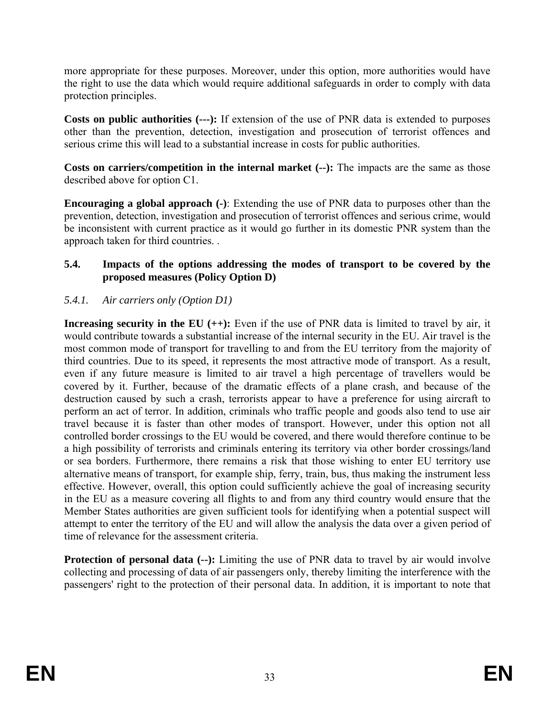more appropriate for these purposes. Moreover, under this option, more authorities would have the right to use the data which would require additional safeguards in order to comply with data protection principles.

**Costs on public authorities (---):** If extension of the use of PNR data is extended to purposes other than the prevention, detection, investigation and prosecution of terrorist offences and serious crime this will lead to a substantial increase in costs for public authorities.

**Costs on carriers/competition in the internal market (--):** The impacts are the same as those described above for option C1.

**Encouraging a global approach (-)**: Extending the use of PNR data to purposes other than the prevention, detection, investigation and prosecution of terrorist offences and serious crime, would be inconsistent with current practice as it would go further in its domestic PNR system than the approach taken for third countries. .

### **5.4. Impacts of the options addressing the modes of transport to be covered by the proposed measures (Policy Option D)**

### *5.4.1. Air carriers only (Option D1)*

**Increasing security in the EU (++):** Even if the use of PNR data is limited to travel by air, it would contribute towards a substantial increase of the internal security in the EU. Air travel is the most common mode of transport for travelling to and from the EU territory from the majority of third countries. Due to its speed, it represents the most attractive mode of transport. As a result, even if any future measure is limited to air travel a high percentage of travellers would be covered by it. Further, because of the dramatic effects of a plane crash, and because of the destruction caused by such a crash, terrorists appear to have a preference for using aircraft to perform an act of terror. In addition, criminals who traffic people and goods also tend to use air travel because it is faster than other modes of transport. However, under this option not all controlled border crossings to the EU would be covered, and there would therefore continue to be a high possibility of terrorists and criminals entering its territory via other border crossings/land or sea borders. Furthermore, there remains a risk that those wishing to enter EU territory use alternative means of transport, for example ship, ferry, train, bus, thus making the instrument less effective. However, overall, this option could sufficiently achieve the goal of increasing security in the EU as a measure covering all flights to and from any third country would ensure that the Member States authorities are given sufficient tools for identifying when a potential suspect will attempt to enter the territory of the EU and will allow the analysis the data over a given period of time of relevance for the assessment criteria.

**Protection of personal data (--):** Limiting the use of PNR data to travel by air would involve collecting and processing of data of air passengers only, thereby limiting the interference with the passengers' right to the protection of their personal data. In addition, it is important to note that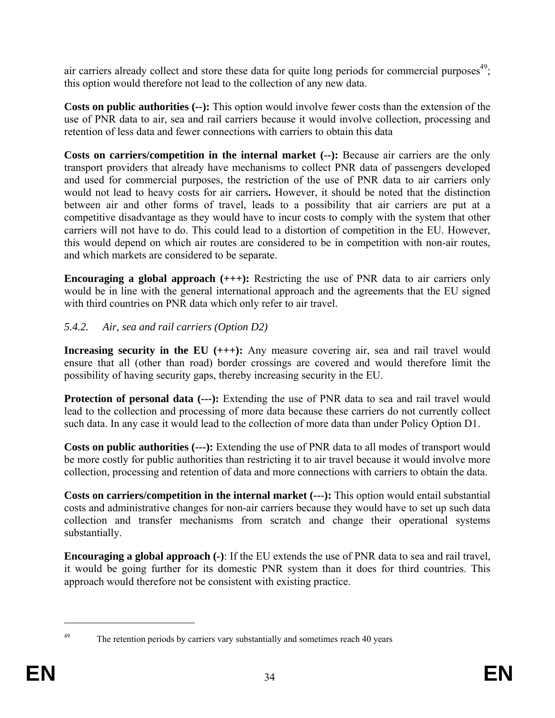air carriers already collect and store these data for quite long periods for commercial purposes $49$ ; this option would therefore not lead to the collection of any new data.

**Costs on public authorities (--):** This option would involve fewer costs than the extension of the use of PNR data to air, sea and rail carriers because it would involve collection, processing and retention of less data and fewer connections with carriers to obtain this data

**Costs on carriers/competition in the internal market (--):** Because air carriers are the only transport providers that already have mechanisms to collect PNR data of passengers developed and used for commercial purposes, the restriction of the use of PNR data to air carriers only would not lead to heavy costs for air carriers**.** However, it should be noted that the distinction between air and other forms of travel, leads to a possibility that air carriers are put at a competitive disadvantage as they would have to incur costs to comply with the system that other carriers will not have to do. This could lead to a distortion of competition in the EU. However, this would depend on which air routes are considered to be in competition with non-air routes, and which markets are considered to be separate.

**Encouraging a global approach (+++):** Restricting the use of PNR data to air carriers only would be in line with the general international approach and the agreements that the EU signed with third countries on PNR data which only refer to air travel.

# *5.4.2. Air, sea and rail carriers (Option D2)*

**Increasing security in the EU (+++):** Any measure covering air, sea and rail travel would ensure that all (other than road) border crossings are covered and would therefore limit the possibility of having security gaps, thereby increasing security in the EU.

**Protection of personal data (---):** Extending the use of PNR data to sea and rail travel would lead to the collection and processing of more data because these carriers do not currently collect such data. In any case it would lead to the collection of more data than under Policy Option D1.

**Costs on public authorities (---):** Extending the use of PNR data to all modes of transport would be more costly for public authorities than restricting it to air travel because it would involve more collection, processing and retention of data and more connections with carriers to obtain the data.

**Costs on carriers/competition in the internal market (---):** This option would entail substantial costs and administrative changes for non-air carriers because they would have to set up such data collection and transfer mechanisms from scratch and change their operational systems substantially.

**Encouraging a global approach (-)**: If the EU extends the use of PNR data to sea and rail travel, it would be going further for its domestic PNR system than it does for third countries. This approach would therefore not be consistent with existing practice.

<sup>&</sup>lt;sup>49</sup> The retention periods by carriers vary substantially and sometimes reach 40 years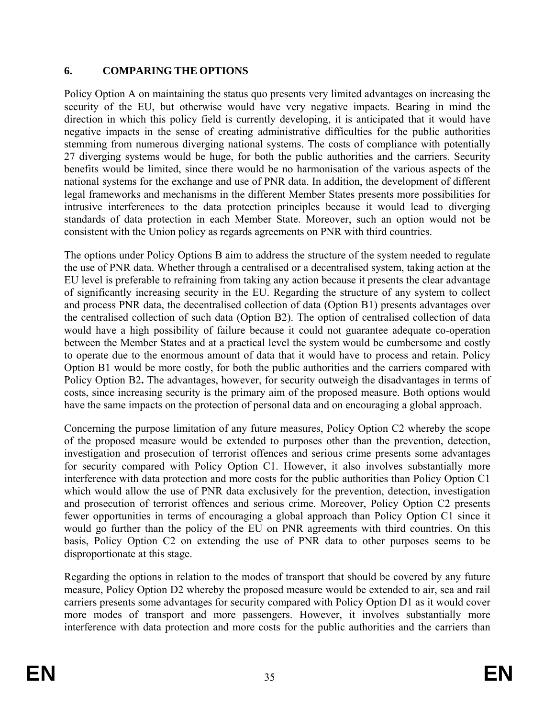# **6. COMPARING THE OPTIONS**

Policy Option A on maintaining the status quo presents very limited advantages on increasing the security of the EU, but otherwise would have very negative impacts. Bearing in mind the direction in which this policy field is currently developing, it is anticipated that it would have negative impacts in the sense of creating administrative difficulties for the public authorities stemming from numerous diverging national systems. The costs of compliance with potentially 27 diverging systems would be huge, for both the public authorities and the carriers. Security benefits would be limited, since there would be no harmonisation of the various aspects of the national systems for the exchange and use of PNR data. In addition, the development of different legal frameworks and mechanisms in the different Member States presents more possibilities for intrusive interferences to the data protection principles because it would lead to diverging standards of data protection in each Member State. Moreover, such an option would not be consistent with the Union policy as regards agreements on PNR with third countries.

The options under Policy Options B aim to address the structure of the system needed to regulate the use of PNR data. Whether through a centralised or a decentralised system, taking action at the EU level is preferable to refraining from taking any action because it presents the clear advantage of significantly increasing security in the EU. Regarding the structure of any system to collect and process PNR data, the decentralised collection of data (Option B1) presents advantages over the centralised collection of such data (Option B2). The option of centralised collection of data would have a high possibility of failure because it could not guarantee adequate co-operation between the Member States and at a practical level the system would be cumbersome and costly to operate due to the enormous amount of data that it would have to process and retain. Policy Option B1 would be more costly, for both the public authorities and the carriers compared with Policy Option B2**.** The advantages, however, for security outweigh the disadvantages in terms of costs, since increasing security is the primary aim of the proposed measure. Both options would have the same impacts on the protection of personal data and on encouraging a global approach.

Concerning the purpose limitation of any future measures, Policy Option C2 whereby the scope of the proposed measure would be extended to purposes other than the prevention, detection, investigation and prosecution of terrorist offences and serious crime presents some advantages for security compared with Policy Option C1. However, it also involves substantially more interference with data protection and more costs for the public authorities than Policy Option C1 which would allow the use of PNR data exclusively for the prevention, detection, investigation and prosecution of terrorist offences and serious crime. Moreover, Policy Option C2 presents fewer opportunities in terms of encouraging a global approach than Policy Option C1 since it would go further than the policy of the EU on PNR agreements with third countries. On this basis, Policy Option C2 on extending the use of PNR data to other purposes seems to be disproportionate at this stage.

Regarding the options in relation to the modes of transport that should be covered by any future measure, Policy Option D2 whereby the proposed measure would be extended to air, sea and rail carriers presents some advantages for security compared with Policy Option D1 as it would cover more modes of transport and more passengers. However, it involves substantially more interference with data protection and more costs for the public authorities and the carriers than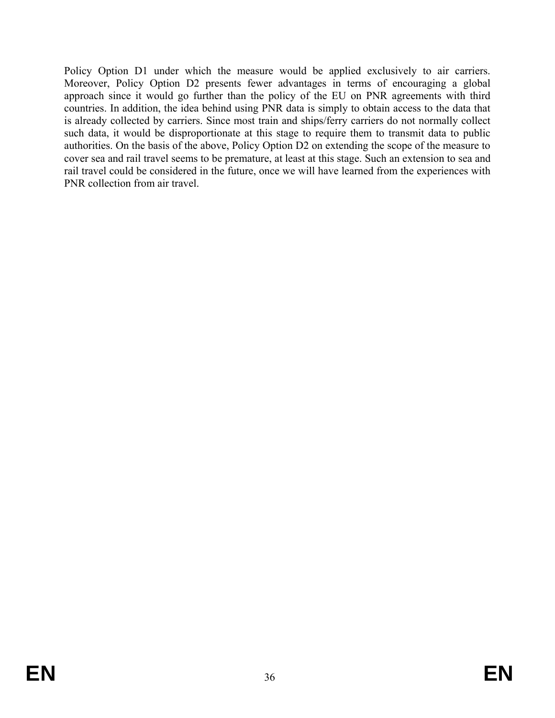Policy Option D1 under which the measure would be applied exclusively to air carriers. Moreover, Policy Option D2 presents fewer advantages in terms of encouraging a global approach since it would go further than the policy of the EU on PNR agreements with third countries. In addition, the idea behind using PNR data is simply to obtain access to the data that is already collected by carriers. Since most train and ships/ferry carriers do not normally collect such data, it would be disproportionate at this stage to require them to transmit data to public authorities. On the basis of the above, Policy Option D2 on extending the scope of the measure to cover sea and rail travel seems to be premature, at least at this stage. Such an extension to sea and rail travel could be considered in the future, once we will have learned from the experiences with PNR collection from air travel.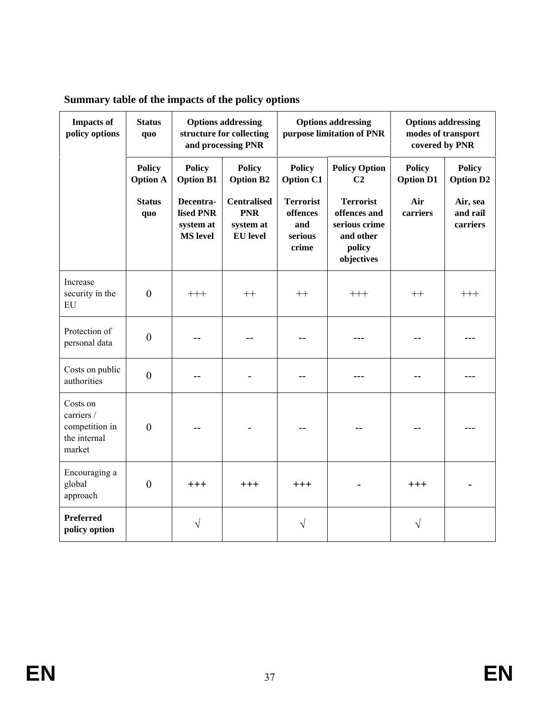| <b>Impacts of</b><br>policy options                                | <b>Status</b><br>quo             |                                                        | <b>Options addressing</b><br>structure for collecting<br>and processing PNR |                                                         | <b>Options addressing</b><br>purpose limitation of PNR                                 | <b>Options addressing</b><br>modes of transport<br>covered by PNR |                                   |  |
|--------------------------------------------------------------------|----------------------------------|--------------------------------------------------------|-----------------------------------------------------------------------------|---------------------------------------------------------|----------------------------------------------------------------------------------------|-------------------------------------------------------------------|-----------------------------------|--|
|                                                                    | <b>Policy</b><br><b>Option A</b> | <b>Policy</b><br><b>Option B1</b>                      | <b>Policy</b><br><b>Option B2</b>                                           | <b>Policy</b><br><b>Option C1</b>                       | <b>Policy Option</b><br>C <sub>2</sub>                                                 | <b>Policy</b><br><b>Option D1</b>                                 | <b>Policy</b><br><b>Option D2</b> |  |
|                                                                    | <b>Status</b><br>quo             | Decentra-<br>lised PNR<br>system at<br><b>MS</b> level | <b>Centralised</b><br><b>PNR</b><br>system at<br><b>EU</b> level            | <b>Terrorist</b><br>offences<br>and<br>serious<br>crime | <b>Terrorist</b><br>offences and<br>serious crime<br>and other<br>policy<br>objectives | Air<br>carriers                                                   | Air, sea<br>and rail<br>carriers  |  |
| Increase<br>security in the<br>${\rm EU}$                          | $\boldsymbol{0}$                 | $+++$                                                  | $++$                                                                        | $++$                                                    | $+++$                                                                                  | $^{++}$                                                           | $+++$                             |  |
| Protection of<br>personal data                                     | $\boldsymbol{0}$                 |                                                        |                                                                             |                                                         |                                                                                        |                                                                   |                                   |  |
| Costs on public<br>authorities                                     | $\boldsymbol{0}$                 |                                                        |                                                                             |                                                         |                                                                                        |                                                                   |                                   |  |
| Costs on<br>carriers /<br>competition in<br>the internal<br>market | $\theta$                         |                                                        |                                                                             |                                                         |                                                                                        |                                                                   |                                   |  |
| Encouraging a<br>global<br>approach                                | $\mathbf{0}$                     | $+++$                                                  | $+++$                                                                       | $+++$                                                   |                                                                                        | $+++$                                                             |                                   |  |
| <b>Preferred</b><br>policy option                                  |                                  | V                                                      |                                                                             | V                                                       |                                                                                        | $\sqrt{}$                                                         |                                   |  |

# **Summary table of the impacts of the policy options**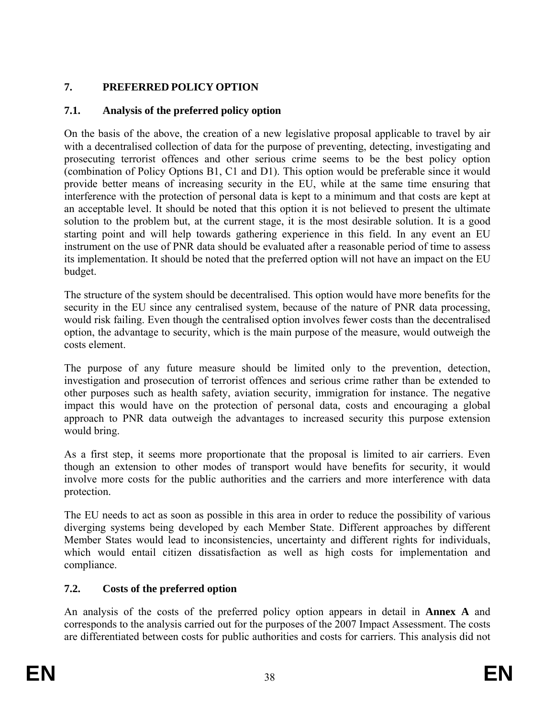# **7. PREFERRED POLICY OPTION**

# **7.1. Analysis of the preferred policy option**

On the basis of the above, the creation of a new legislative proposal applicable to travel by air with a decentralised collection of data for the purpose of preventing, detecting, investigating and prosecuting terrorist offences and other serious crime seems to be the best policy option (combination of Policy Options B1, C1 and D1). This option would be preferable since it would provide better means of increasing security in the EU, while at the same time ensuring that interference with the protection of personal data is kept to a minimum and that costs are kept at an acceptable level. It should be noted that this option it is not believed to present the ultimate solution to the problem but, at the current stage, it is the most desirable solution. It is a good starting point and will help towards gathering experience in this field. In any event an EU instrument on the use of PNR data should be evaluated after a reasonable period of time to assess its implementation. It should be noted that the preferred option will not have an impact on the EU budget.

The structure of the system should be decentralised. This option would have more benefits for the security in the EU since any centralised system, because of the nature of PNR data processing, would risk failing. Even though the centralised option involves fewer costs than the decentralised option, the advantage to security, which is the main purpose of the measure, would outweigh the costs element.

The purpose of any future measure should be limited only to the prevention, detection, investigation and prosecution of terrorist offences and serious crime rather than be extended to other purposes such as health safety, aviation security, immigration for instance. The negative impact this would have on the protection of personal data, costs and encouraging a global approach to PNR data outweigh the advantages to increased security this purpose extension would bring.

As a first step, it seems more proportionate that the proposal is limited to air carriers. Even though an extension to other modes of transport would have benefits for security, it would involve more costs for the public authorities and the carriers and more interference with data protection.

The EU needs to act as soon as possible in this area in order to reduce the possibility of various diverging systems being developed by each Member State. Different approaches by different Member States would lead to inconsistencies, uncertainty and different rights for individuals, which would entail citizen dissatisfaction as well as high costs for implementation and compliance.

# **7.2. Costs of the preferred option**

An analysis of the costs of the preferred policy option appears in detail in **Annex A** and corresponds to the analysis carried out for the purposes of the 2007 Impact Assessment. The costs are differentiated between costs for public authorities and costs for carriers. This analysis did not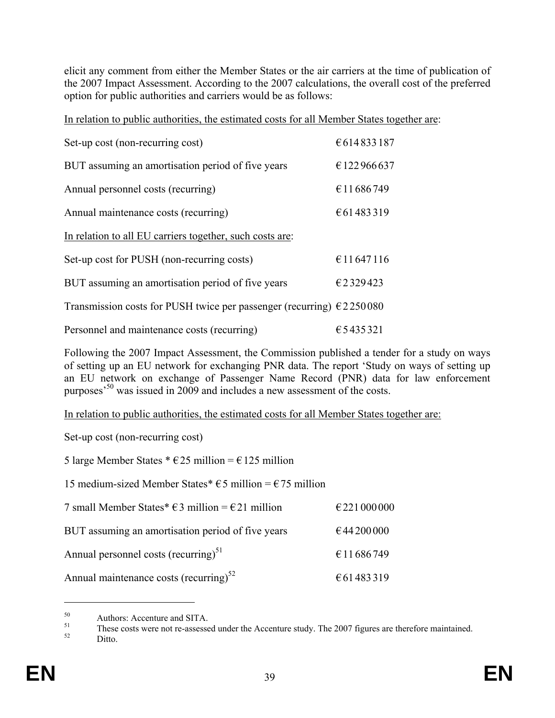elicit any comment from either the Member States or the air carriers at the time of publication of the 2007 Impact Assessment. According to the 2007 calculations, the overall cost of the preferred option for public authorities and carriers would be as follows:

In relation to public authorities, the estimated costs for all Member States together are:

| Set-up cost (non-recurring cost)                                               | €614833187  |
|--------------------------------------------------------------------------------|-------------|
| BUT assuming an amortisation period of five years                              | € 122966637 |
| Annual personnel costs (recurring)                                             | €11686749   |
| Annual maintenance costs (recurring)                                           | €61483319   |
| In relation to all EU carriers together, such costs are:                       |             |
| Set-up cost for PUSH (non-recurring costs)                                     | €11647116   |
| BUT assuming an amortisation period of five years                              | €2329423    |
| Transmission costs for PUSH twice per passenger (recurring) $\epsilon$ 2250080 |             |
| Personnel and maintenance costs (recurring)                                    | €5435321    |

Following the 2007 Impact Assessment, the Commission published a tender for a study on ways of setting up an EU network for exchanging PNR data. The report 'Study on ways of setting up an EU network on exchange of Passenger Name Record (PNR) data for law enforcement purposes'50 was issued in 2009 and includes a new assessment of the costs.

In relation to public authorities, the estimated costs for all Member States together are:

Set-up cost (non-recurring cost)

5 large Member States  $* \text{E25}$  million =  $\text{E125}$  million

15 medium-sized Member States<sup>\*</sup> €5 million = €75 million

| 7 small Member States* $\epsilon$ 3 million = $\epsilon$ 21 million | €221000000 |
|---------------------------------------------------------------------|------------|
| BUT assuming an amortisation period of five years                   | €44200000  |
| Annual personnel costs (recurring) <sup>51</sup>                    | €11686749  |
| Annual maintenance costs (recurring) $^{52}$                        | €61483319  |

 $50$  Authors: Accenture and SITA.

 $51$  These costs were not re-assessed under the Accenture study. The 2007 figures are therefore maintained.<br>Ditto.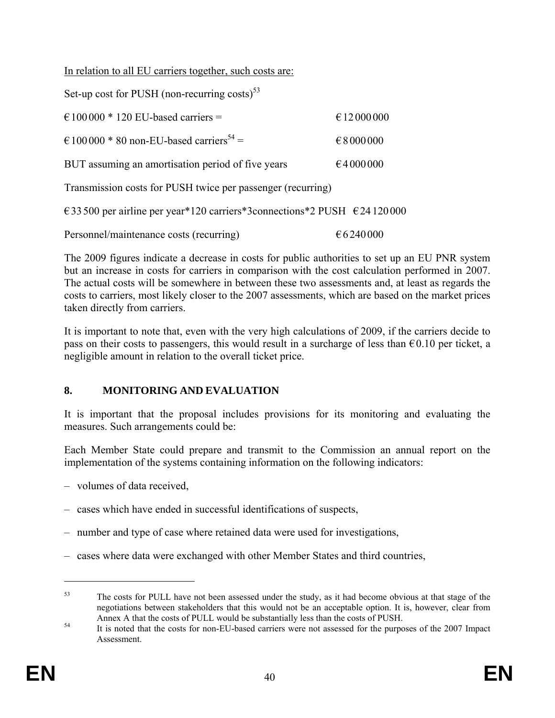In relation to all EU carriers together, such costs are:

| Set-up cost for PUSH (non-recurring costs) $53$                                     |              |  |  |  |  |  |
|-------------------------------------------------------------------------------------|--------------|--|--|--|--|--|
| $\epsilon$ 100 000 * 120 EU-based carriers =                                        | € 12 000 000 |  |  |  |  |  |
| $\epsilon$ 100 000 * 80 non-EU-based carriers <sup>54</sup> =                       | € 8 000 000  |  |  |  |  |  |
| BUT assuming an amortisation period of five years                                   | €4000000     |  |  |  |  |  |
| Transmission costs for PUSH twice per passenger (recurring)                         |              |  |  |  |  |  |
| €33 500 per airline per year*120 carriers*3connections*2 PUSH $\epsilon$ 24 120 000 |              |  |  |  |  |  |
| Personnel/maintenance costs (recurring)                                             | €6240000     |  |  |  |  |  |

The 2009 figures indicate a decrease in costs for public authorities to set up an EU PNR system but an increase in costs for carriers in comparison with the cost calculation performed in 2007. The actual costs will be somewhere in between these two assessments and, at least as regards the costs to carriers, most likely closer to the 2007 assessments, which are based on the market prices taken directly from carriers.

It is important to note that, even with the very high calculations of 2009, if the carriers decide to pass on their costs to passengers, this would result in a surcharge of less than  $\epsilon$ 0.10 per ticket, a negligible amount in relation to the overall ticket price.

### **8. MONITORING AND EVALUATION**

It is important that the proposal includes provisions for its monitoring and evaluating the measures. Such arrangements could be:

Each Member State could prepare and transmit to the Commission an annual report on the implementation of the systems containing information on the following indicators:

- volumes of data received,
- cases which have ended in successful identifications of suspects,
- number and type of case where retained data were used for investigations,
- cases where data were exchanged with other Member States and third countries,

<u>.</u>

<sup>&</sup>lt;sup>53</sup> The costs for PULL have not been assessed under the study, as it had become obvious at that stage of the negotiations between stakeholders that this would not be an acceptable option. It is, however, clear from

Annex A that the costs of PULL would be substantially less than the costs of PUSH.<br>It is noted that the costs for non-EU-based carriers were not assessed for the purposes of the 2007 Impact Assessment.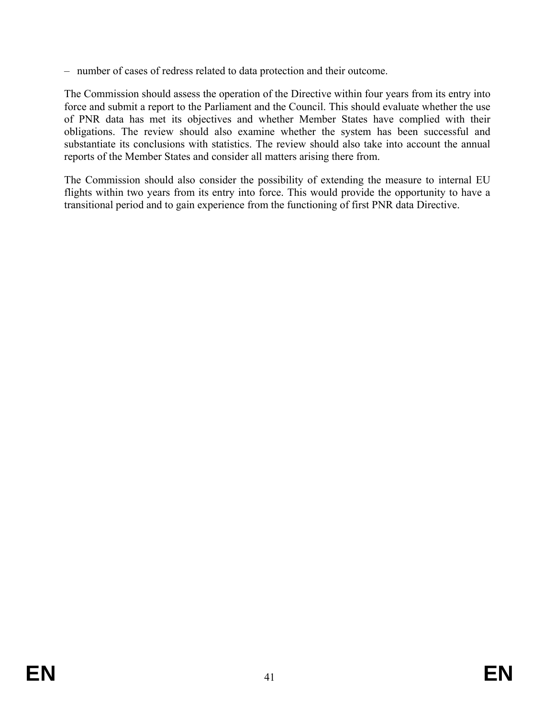– number of cases of redress related to data protection and their outcome.

The Commission should assess the operation of the Directive within four years from its entry into force and submit a report to the Parliament and the Council. This should evaluate whether the use of PNR data has met its objectives and whether Member States have complied with their obligations. The review should also examine whether the system has been successful and substantiate its conclusions with statistics. The review should also take into account the annual reports of the Member States and consider all matters arising there from.

The Commission should also consider the possibility of extending the measure to internal EU flights within two years from its entry into force. This would provide the opportunity to have a transitional period and to gain experience from the functioning of first PNR data Directive.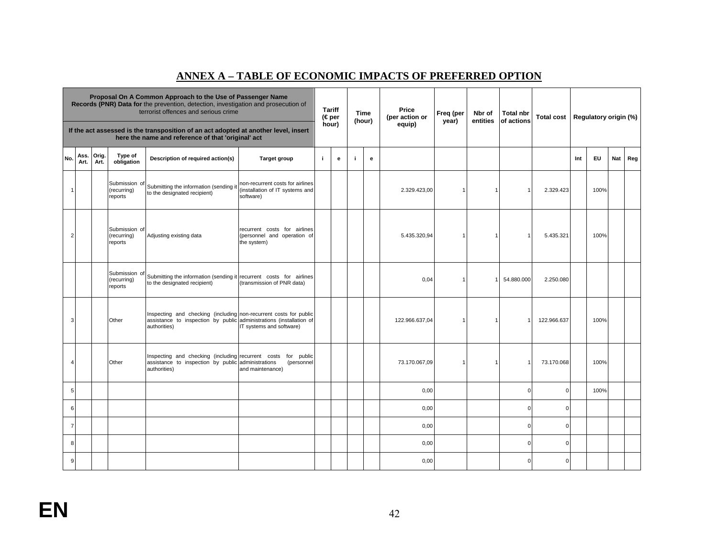### **ANNEX A – TABLE OF ECONOMIC IMPACTS OF PREFERRED OPTION**

| Proposal On A Common Approach to the Use of Passenger Name<br>Records (PNR) Data for the prevention, detection, investigation and prosecution of<br>terrorist offences and serious crime |              |               |                                         | <b>Tariff</b><br>$(\in$ per                                                                                                                              |                                                                                  | Time<br>(hour) | Price<br>(per action or | Freq (per<br>year) | Nbr of<br>entities | <b>Total nbr</b><br>of actions | <b>Total cost</b> |  | Regulatory origin (%) |             |     |           |     |     |
|------------------------------------------------------------------------------------------------------------------------------------------------------------------------------------------|--------------|---------------|-----------------------------------------|----------------------------------------------------------------------------------------------------------------------------------------------------------|----------------------------------------------------------------------------------|----------------|-------------------------|--------------------|--------------------|--------------------------------|-------------------|--|-----------------------|-------------|-----|-----------|-----|-----|
|                                                                                                                                                                                          |              |               |                                         | If the act assessed is the transposition of an act adopted at another level, insert<br>here the name and reference of that 'original' act                |                                                                                  |                | hour)                   |                    |                    | equip)                         |                   |  |                       |             |     |           |     |     |
| No.                                                                                                                                                                                      | Ass.<br>Art. | Orig.<br>Art. | Type of<br>obligation                   | Description of required action(s)                                                                                                                        | <b>Target group</b>                                                              | j.             | $\mathbf{e}$            | j.                 | e                  |                                |                   |  |                       |             | Int | <b>EU</b> | Nat | Reg |
| $\mathbf{1}$                                                                                                                                                                             |              |               | Submission of<br>(recurring)<br>reports | Submitting the information (sending it<br>to the designated recipient)                                                                                   | non-recurrent costs for airlines<br>(installation of IT systems and<br>software) |                |                         |                    |                    | 2.329.423,00                   | $\mathbf 1$       |  |                       | 2.329.423   |     | 100%      |     |     |
| $\overline{2}$                                                                                                                                                                           |              |               | Submission of<br>(recurring)<br>reports | Adjusting existing data                                                                                                                                  | recurrent costs for airlines<br>(personnel and operation of<br>the system)       |                |                         |                    |                    | 5.435.320,94                   |                   |  | 1                     | 5.435.321   |     | 100%      |     |     |
|                                                                                                                                                                                          |              |               | Submission of<br>(recurring)<br>reports | Submitting the information (sending it recurrent costs for airlines<br>to the designated recipient)                                                      | (transmission of PNR data)                                                       |                |                         |                    |                    | 0,04                           | 1                 |  | 54.880.000            | 2.250.080   |     |           |     |     |
| 3                                                                                                                                                                                        |              |               | Other                                   | Inspecting and checking (including non-recurrent costs for public<br>assistance to inspection by public administrations (installation of<br>authorities) | IT systems and software)                                                         |                |                         |                    |                    | 122.966.637,04                 | 1                 |  | 1                     | 122.966.637 |     | 100%      |     |     |
| $\overline{4}$                                                                                                                                                                           |              |               | Other                                   | Inspecting and checking (including recurrent costs<br>assistance to inspection by public administrations<br>authorities)                                 | for public<br>(personnel<br>and maintenance)                                     |                |                         |                    |                    | 73.170.067,09                  | $\mathbf 1$       |  |                       | 73.170.068  |     | 100%      |     |     |
| 5                                                                                                                                                                                        |              |               |                                         |                                                                                                                                                          |                                                                                  |                |                         |                    |                    | 0,00                           |                   |  | 0                     |             |     | 100%      |     |     |
| 6                                                                                                                                                                                        |              |               |                                         |                                                                                                                                                          |                                                                                  |                |                         |                    |                    | 0,00                           |                   |  | $\mathbf 0$           | $\Omega$    |     |           |     |     |
| $\overline{7}$                                                                                                                                                                           |              |               |                                         |                                                                                                                                                          |                                                                                  |                |                         |                    |                    | 0,00                           |                   |  | $\mathbf 0$           | $\Omega$    |     |           |     |     |
| 8                                                                                                                                                                                        |              |               |                                         |                                                                                                                                                          |                                                                                  |                |                         |                    |                    | 0,00                           |                   |  | $\Omega$              | $\Omega$    |     |           |     |     |
| 9                                                                                                                                                                                        |              |               |                                         |                                                                                                                                                          |                                                                                  |                |                         |                    |                    | 0,00                           |                   |  | $\mathbf 0$           | $\Omega$    |     |           |     |     |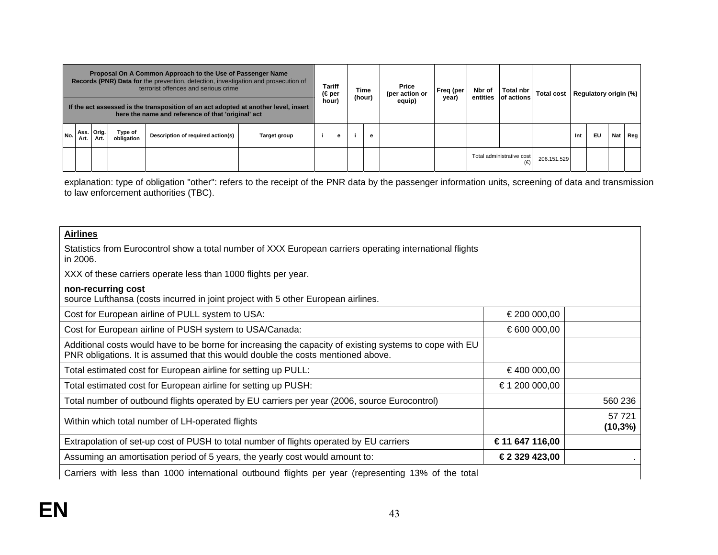| Proposal On A Common Approach to the Use of Passenger Name<br>Records (PNR) Data for the prevention, detection, investigation and prosecution of<br>terrorist offences and serious crime |        |                    | (€per                 | <b>Tariff</b>                                                                                                                             | (hour)       | Time | Price<br>(per action or | Freq (per<br>year) | Nbr of<br>entities | Total nbr<br>of actions | <b>Total cost</b> |  | Regulatory origin (%)     |             |     |    |     |     |
|------------------------------------------------------------------------------------------------------------------------------------------------------------------------------------------|--------|--------------------|-----------------------|-------------------------------------------------------------------------------------------------------------------------------------------|--------------|------|-------------------------|--------------------|--------------------|-------------------------|-------------------|--|---------------------------|-------------|-----|----|-----|-----|
|                                                                                                                                                                                          |        |                    |                       | If the act assessed is the transposition of an act adopted at another level, insert<br>here the name and reference of that 'original' act |              |      | hour)                   |                    | equip)             |                         |                   |  |                           |             |     |    |     |     |
| No.                                                                                                                                                                                      | Art. I | Ass. Orig.<br>Art. | Type of<br>obligation | Description of required action(s)                                                                                                         | Target group |      | e                       |                    | е                  |                         |                   |  |                           |             | Int | EU | Nat | Reg |
|                                                                                                                                                                                          |        |                    |                       |                                                                                                                                           |              |      |                         |                    |                    |                         |                   |  | Total administrative cost | 206.151.529 |     |    |     |     |

explanation: type of obligation "other": refers to the receipt of the PNR data by the passenger information units, screening of data and transmission to law enforcement authorities (TBC).

#### **Airlines**

Statistics from Eurocontrol show a total number of XXX European carriers operating international flights in 2006.

XXX of these carriers operate less than 1000 flights per year.

#### **non-recurring cost**

source Lufthansa (costs incurred in joint project with 5 other European airlines.

| Cost for European airline of PULL system to USA:                                                                                                                                            | €200 000,00    |                   |
|---------------------------------------------------------------------------------------------------------------------------------------------------------------------------------------------|----------------|-------------------|
| Cost for European airline of PUSH system to USA/Canada:                                                                                                                                     | € 600 000,00   |                   |
| Additional costs would have to be borne for increasing the capacity of existing systems to cope with EU<br>PNR obligations. It is assumed that this would double the costs mentioned above. |                |                   |
| Total estimated cost for European airline for setting up PULL:                                                                                                                              | €400 000,00    |                   |
| Total estimated cost for European airline for setting up PUSH:                                                                                                                              | €1 200 000,00  |                   |
| Total number of outbound flights operated by EU carriers per year (2006, source Eurocontrol)                                                                                                |                | 560 236           |
| Within which total number of LH-operated flights                                                                                                                                            |                | 57 721<br>(10,3%) |
| Extrapolation of set-up cost of PUSH to total number of flights operated by EU carriers                                                                                                     | €11 647 116,00 |                   |
| Assuming an amortisation period of 5 years, the yearly cost would amount to:                                                                                                                | €2 329 423,00  |                   |
|                                                                                                                                                                                             |                |                   |

Carriers with less than 1000 international outbound flights per year (representing 13% of the total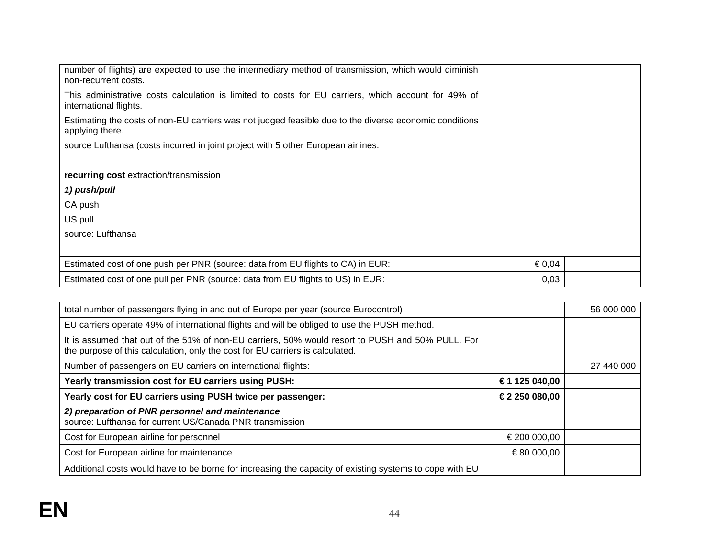number of flights) are expected to use the intermediary method of transmission, which would diminish non-recurrent costs.

This administrative costs calculation is limited to costs for EU carriers, which account for 49% of international flights.

Estimating the costs of non-EU carriers was not judged feasible due to the diverse economic conditions applying there.

source Lufthansa (costs incurred in joint project with 5 other European airlines.

#### **recurring cost** extraction/transmission

#### *1) push/pull*

CA push

US pull

source: Lufthansa

| Estimated cost of one push per PNR (source: data from EU flights to CA) in EUR: | €0,04 |  |
|---------------------------------------------------------------------------------|-------|--|
| Estimated cost of one pull per PNR (source: data from EU flights to US) in EUR: | 0,03  |  |

| total number of passengers flying in and out of Europe per year (source Eurocontrol)                                                                                              |               | 56 000 000 |
|-----------------------------------------------------------------------------------------------------------------------------------------------------------------------------------|---------------|------------|
| EU carriers operate 49% of international flights and will be obliged to use the PUSH method.                                                                                      |               |            |
| It is assumed that out of the 51% of non-EU carriers, 50% would resort to PUSH and 50% PULL. For<br>the purpose of this calculation, only the cost for EU carriers is calculated. |               |            |
| Number of passengers on EU carriers on international flights:                                                                                                                     |               | 27 440 000 |
| Yearly transmission cost for EU carriers using PUSH:                                                                                                                              | €1 125 040,00 |            |
| Yearly cost for EU carriers using PUSH twice per passenger:                                                                                                                       | €2 250 080,00 |            |
| 2) preparation of PNR personnel and maintenance<br>source: Lufthansa for current US/Canada PNR transmission                                                                       |               |            |
| Cost for European airline for personnel                                                                                                                                           | € 200 000,00  |            |
| Cost for European airline for maintenance                                                                                                                                         | €80 000,00    |            |
| Additional costs would have to be borne for increasing the capacity of existing systems to cope with EU                                                                           |               |            |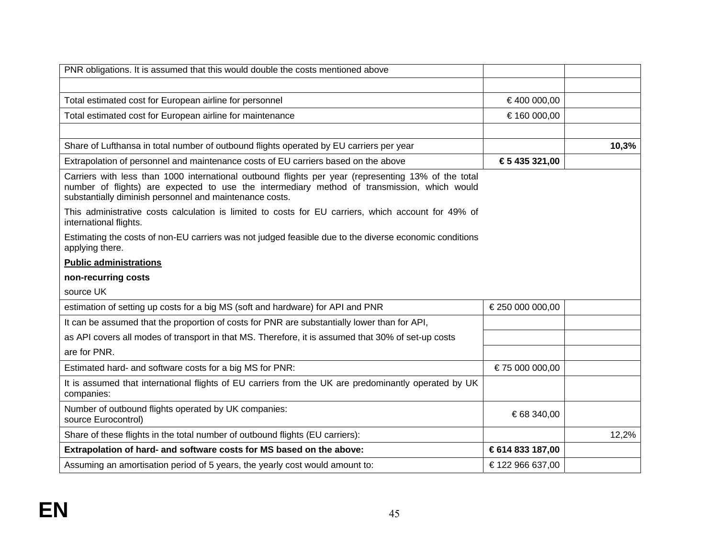| PNR obligations. It is assumed that this would double the costs mentioned above                                                                                                                                                                               |                  |       |
|---------------------------------------------------------------------------------------------------------------------------------------------------------------------------------------------------------------------------------------------------------------|------------------|-------|
|                                                                                                                                                                                                                                                               |                  |       |
| Total estimated cost for European airline for personnel                                                                                                                                                                                                       | €400 000,00      |       |
| Total estimated cost for European airline for maintenance                                                                                                                                                                                                     | €160 000,00      |       |
|                                                                                                                                                                                                                                                               |                  |       |
| Share of Lufthansa in total number of outbound flights operated by EU carriers per year                                                                                                                                                                       |                  | 10,3% |
| Extrapolation of personnel and maintenance costs of EU carriers based on the above                                                                                                                                                                            | €5 435 321,00    |       |
| Carriers with less than 1000 international outbound flights per year (representing 13% of the total<br>number of flights) are expected to use the intermediary method of transmission, which would<br>substantially diminish personnel and maintenance costs. |                  |       |
| This administrative costs calculation is limited to costs for EU carriers, which account for 49% of<br>international flights.                                                                                                                                 |                  |       |
| Estimating the costs of non-EU carriers was not judged feasible due to the diverse economic conditions<br>applying there.                                                                                                                                     |                  |       |
| <b>Public administrations</b>                                                                                                                                                                                                                                 |                  |       |
| non-recurring costs                                                                                                                                                                                                                                           |                  |       |
| source UK                                                                                                                                                                                                                                                     |                  |       |
| estimation of setting up costs for a big MS (soft and hardware) for API and PNR                                                                                                                                                                               | € 250 000 000,00 |       |
| It can be assumed that the proportion of costs for PNR are substantially lower than for API,                                                                                                                                                                  |                  |       |
|                                                                                                                                                                                                                                                               |                  |       |
| as API covers all modes of transport in that MS. Therefore, it is assumed that 30% of set-up costs                                                                                                                                                            |                  |       |
| are for PNR.                                                                                                                                                                                                                                                  |                  |       |
| Estimated hard- and software costs for a big MS for PNR:                                                                                                                                                                                                      | €75 000 000,00   |       |
| It is assumed that international flights of EU carriers from the UK are predominantly operated by UK<br>companies:                                                                                                                                            |                  |       |
| Number of outbound flights operated by UK companies:<br>source Eurocontrol)                                                                                                                                                                                   | €68 340,00       |       |
| Share of these flights in the total number of outbound flights (EU carriers):                                                                                                                                                                                 |                  | 12,2% |
| Extrapolation of hard- and software costs for MS based on the above:                                                                                                                                                                                          | €614 833 187,00  |       |